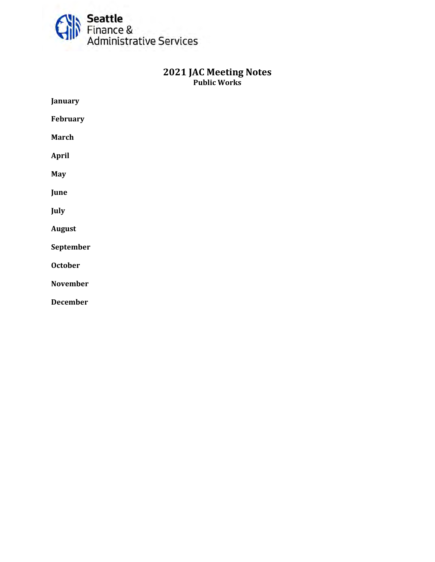

# **<sup>2021</sup> JAC Meeting Notes Public Works**

| January         |
|-----------------|
| February        |
| <b>March</b>    |
| <b>April</b>    |
| <b>May</b>      |
| June            |
| July            |
| <b>August</b>   |
| September       |
| <b>October</b>  |
| <b>November</b> |
| <b>December</b> |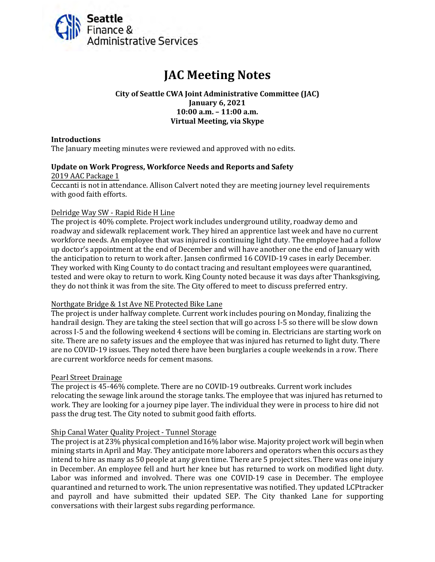<span id="page-1-0"></span>

# **JAC Meeting Notes**

**City of Seattle CWA Joint Administrative Committee (JAC) January 6, 2021 10:00 a.m. – 11:00 a.m. Virtual Meeting, via Skype**

#### **Introductions**

The January meeting minutes were reviewed and approved with no edits.

#### **Update on Work Progress, Workforce Needs and Reports and Safety**

2019 AAC Package 1 Ceccanti is not in attendance. Allison Calvert noted they are meeting journey level requirements with good faith efforts.

#### Delridge Way SW - Rapid Ride H Line

The project is 40% complete. Project work includes underground utility, roadway demo and roadway and sidewalk replacement work. They hired an apprentice last week and have no current workforce needs. An employee that was injured is continuing light duty. The employee had a follow up doctor's appointment at the end of December and will have another one the end of January with the anticipation to return to work after. Jansen confirmed 16 COVID-19 cases in early December. They worked with King County to do contact tracing and resultant employees were quarantined, tested and were okay to return to work. King County noted because it was days after Thanksgiving, they do not think it was from the site. The City offered to meet to discuss preferred entry.

#### Northgate Bridge & 1st Ave NE Protected Bike Lane

The project is under halfway complete. Current work includes pouring on Monday, finalizing the handrail design. They are taking the steel section that will go across I-5 so there will be slow down across I-5 and the following weekend 4 sections will be coming in. Electricians are starting work on site. There are no safety issues and the employee that was injured has returned to light duty. There are no COVID-19 issues. They noted there have been burglaries a couple weekends in a row. There are current workforce needs for cement masons.

#### Pearl Street Drainage

The project is 45-46% complete. There are no COVID-19 outbreaks. Current work includes relocating the sewage link around the storage tanks. The employee that was injured has returned to work. They are looking for a journey pipe layer. The individual they were in process to hire did not pass the drug test. The City noted to submit good faith efforts.

#### Ship Canal Water Quality Project - Tunnel Storage

The project is at 23% physical completion and16% labor wise. Majority project work will begin when mining starts in April and May. They anticipate more laborers and operators when this occurs as they intend to hire as many as 50 people at any given time. There are 5 project sites. There was one injury in December. An employee fell and hurt her knee but has returned to work on modified light duty. Labor was informed and involved. There was one COVID-19 case in December. The employee quarantined and returned to work. The union representative was notified. They updated LCPtracker and payroll and have submitted their updated SEP. The City thanked Lane for supporting conversations with their largest subs regarding performance.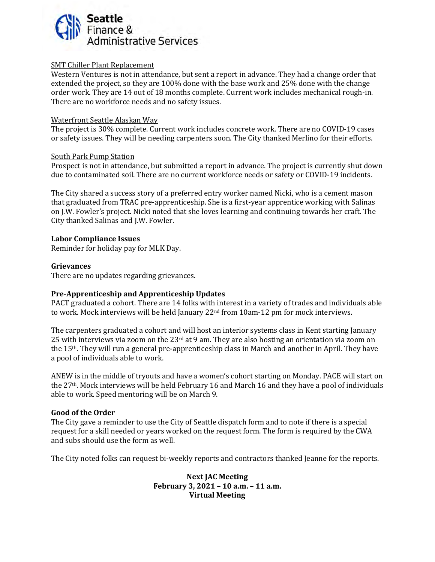

#### SMT Chiller Plant Replacement

Western Ventures is not in attendance, but sent a report in advance. They had a change order that extended the project, so they are 100% done with the base work and 25% done with the change order work. They are 14 out of 18 months complete. Current work includes mechanical rough-in. There are no workforce needs and no safety issues.

#### Waterfront Seattle Alaskan Way

The project is 30% complete. Current work includes concrete work. There are no COVID-19 cases or safety issues. They will be needing carpenters soon. The City thanked Merlino for their efforts.

#### South Park Pump Station

Prospect is not in attendance, but submitted a report in advance. The project is currently shut down due to contaminated soil. There are no current workforce needs or safety or COVID-19 incidents.

The City shared a success story of a preferred entry worker named Nicki, who is a cement mason that graduated from TRAC pre-apprenticeship. She is a first-year apprentice working with Salinas on J.W. Fowler's project. Nicki noted that she loves learning and continuing towards her craft. The City thanked Salinas and J.W. Fowler.

#### **Labor Compliance Issues**

Reminder for holiday pay for MLK Day.

#### **Grievances**

There are no updates regarding grievances.

#### **Pre-Apprenticeship and Apprenticeship Updates**

PACT graduated a cohort. There are 14 folks with interest in a variety of trades and individuals able to work. Mock interviews will be held January 22<sup>nd</sup> from 10am-12 pm for mock interviews.

The carpenters graduated a cohort and will host an interior systems class in Kent starting January 25 with interviews via zoom on the 23<sup>rd</sup> at 9 am. They are also hosting an orientation via zoom on the 15th. They will run a general pre-apprenticeship class in March and another in April. They have a pool of individuals able to work.

ANEW is in the middle of tryouts and have a women's cohort starting on Monday. PACE will start on the 27th. Mock interviews will be held February 16 and March 16 and they have a pool of individuals able to work. Speed mentoring will be on March 9.

#### **Good of the Order**

The City gave a reminder to use the City of Seattle dispatch form and to note if there is a special request for a skill needed or years worked on the request form. The form is required by the CWA and subs should use the form as well.

The City noted folks can request bi-weekly reports and contractors thanked Jeanne for the reports.

**Next JAC Meeting February 3, 2021 – 10 a.m. – 11 a.m. Virtual Meeting**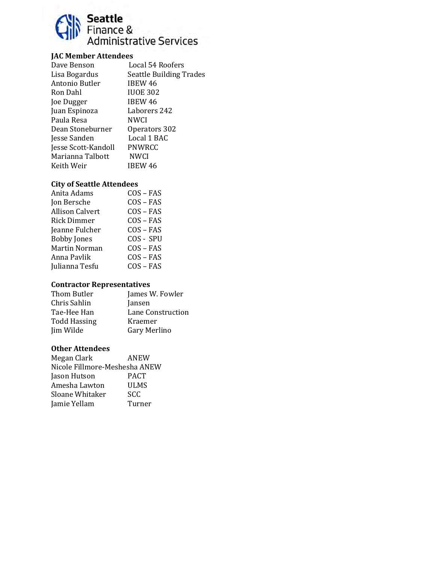# Seattle<br>Finance &<br>Administrative Services

## **JAC Member Attendees**

| Dave Benson         | Local 54 Roofers               |
|---------------------|--------------------------------|
| Lisa Bogardus       | <b>Seattle Building Trades</b> |
| Antonio Butler      | IBEW 46                        |
| Ron Dahl            | <b>IUOE 302</b>                |
| Joe Dugger          | IBEW 46                        |
| Juan Espinoza       | Laborers 242                   |
| Paula Resa          | NWCI                           |
| Dean Stoneburner    | Operators 302                  |
| Jesse Sanden        | Local 1 BAC                    |
| Jesse Scott-Kandoll | PNWRCC                         |
| Marianna Talbott    | <b>NWCI</b>                    |
| Keith Weir          | <b>IBEW 46</b>                 |
|                     |                                |

# **City of Seattle Attendees**

| Anita Adams            | $COS - FAS$ |
|------------------------|-------------|
| Jon Bersche            | $COS - FAS$ |
| <b>Allison Calvert</b> | $COS - FAS$ |
| Rick Dimmer            | $COS - FAS$ |
| Jeanne Fulcher         | $COS - FAS$ |
| <b>Bobby Jones</b>     | COS - SPU   |
| <b>Martin Norman</b>   | $COS - FAS$ |
| Anna Pavlik            | $COS - FAS$ |
| Julianna Tesfu         | $COS - FAS$ |

#### **Contractor Representatives**

| Thom Butler         | James W. Fowler   |
|---------------------|-------------------|
| Chris Sahlin        | Jansen            |
| Tae-Hee Han         | Lane Construction |
| <b>Todd Hassing</b> | Kraemer           |
| Jim Wilde           | Gary Merlino      |
|                     |                   |

| ANEW                          |
|-------------------------------|
| Nicole Fillmore-Meshesha ANEW |
| <b>PACT</b>                   |
| ULMS                          |
| SCC                           |
| Turner                        |
|                               |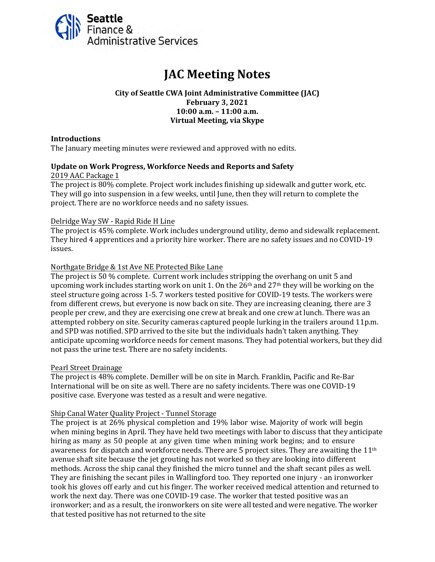<span id="page-4-0"></span>

# **JAC Meeting Notes**

#### **City of Seattle CWA Joint Administrative Committee (JAC) February 3, 2021 10:00 a.m. – 11:00 a.m. Virtual Meeting, via Skype**

#### **Introductions**

The January meeting minutes were reviewed and approved with no edits.

#### **Update on Work Progress, Workforce Needs and Reports and Safety**

#### 2019 AAC Package 1

The project is 80% complete. Project work includes finishing up sidewalk and gutter work, etc. They will go into suspension in a few weeks, until June, then they will return to complete the project. There are no workforce needs and no safety issues.

#### Delridge Way SW - Rapid Ride H Line

The project is 45% complete. Work includes underground utility, demo and sidewalk replacement. They hired 4 apprentices and a priority hire worker. There are no safety issues and no COVID-19 issues.

#### Northgate Bridge & 1st Ave NE Protected Bike Lane

The project is 50 % complete. Current work includes stripping the overhang on unit 5 and upcoming work includes starting work on unit 1. On the  $26<sup>th</sup>$  and  $27<sup>th</sup>$  they will be working on the steel structure going across 1-5. 7 workers tested positive for COVID-19 tests. The workers were from different crews, but everyone is now back on site. They are increasing cleaning, there are 3 people per crew, and they are exercising one crew at break and one crew at lunch. There was an attempted robbery on site. Security cameras captured people lurking in the trailers around 11p.m. and SPD was notified. SPD arrived to the site but the individuals hadn't taken anything. They anticipate upcoming workforce needs for cement masons. They had potential workers, but they did not pass the urine test. There are no safety incidents.

#### Pearl Street Drainage

The project is 48% complete. Demiller will be on site in March. Franklin, Pacific and Re-Bar International will be on site as well. There are no safety incidents. There was one COVID-19 positive case. Everyone was tested as a result and were negative.

#### Ship Canal Water Quality Project - Tunnel Storage

The project is at 26% physical completion and 19% labor wise. Majority of work will begin when mining begins in April. They have held two meetings with labor to discuss that they anticipate hiring as many as 50 people at any given time when mining work begins; and to ensure awareness for dispatch and workforce needs. There are 5 project sites. They are awaiting the  $11<sup>th</sup>$ avenue shaft site because the jet grouting has not worked so they are looking into different methods. Across the ship canal they finished the micro tunnel and the shaft secant piles as well. They are finishing the secant piles in Wallingford too. They reported one injury - an ironworker took his gloves off early and cut his finger. The worker received medical attention and returned to work the next day. There was one COVID-19 case. The worker that tested positive was an ironworker; and as a result, the ironworkers on site were all tested and were negative. The worker that tested positive has not returned to the site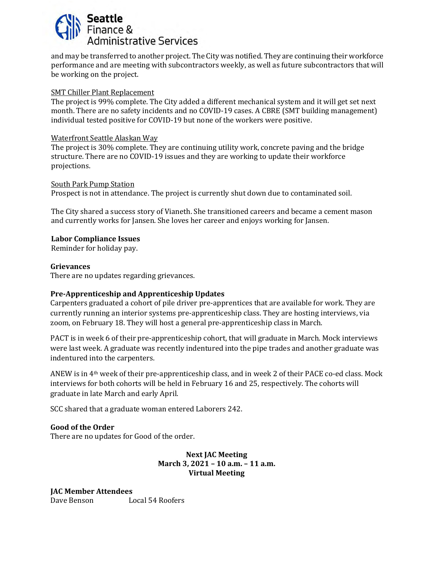

and may be transferred to another project. The City was notified. They are continuing their workforce performance and are meeting with subcontractors weekly, as well as future subcontractors that will be working on the project.

#### SMT Chiller Plant Replacement

The project is 99% complete. The City added a different mechanical system and it will get set next month. There are no safety incidents and no COVID-19 cases. A CBRE (SMT building management) individual tested positive for COVID-19 but none of the workers were positive.

#### Waterfront Seattle Alaskan Way

The project is 30% complete. They are continuing utility work, concrete paving and the bridge structure. There are no COVID-19 issues and they are working to update their workforce projections.

#### South Park Pump Station

Prospect is not in attendance. The project is currently shut down due to contaminated soil.

The City shared a success story of Vianeth. She transitioned careers and became a cement mason and currently works for Jansen. She loves her career and enjoys working for Jansen.

#### **Labor Compliance Issues**

Reminder for holiday pay.

#### **Grievances**

There are no updates regarding grievances.

#### **Pre-Apprenticeship and Apprenticeship Updates**

Carpenters graduated a cohort of pile driver pre-apprentices that are available for work. They are currently running an interior systems pre-apprenticeship class. They are hosting interviews, via zoom, on February 18. They will host a general pre-apprenticeship class in March.

PACT is in week 6 of their pre-apprenticeship cohort, that will graduate in March. Mock interviews were last week. A graduate was recently indentured into the pipe trades and another graduate was indentured into the carpenters.

ANEW is in 4th week of their pre-apprenticeship class, and in week 2 of their PACE co-ed class. Mock interviews for both cohorts will be held in February 16 and 25, respectively. The cohorts will graduate in late March and early April.

SCC shared that a graduate woman entered Laborers 242.

**Good of the Order** 

There are no updates for Good of the order.

#### **Next JAC Meeting March 3, 2021 – 10 a.m. – 11 a.m. Virtual Meeting**

**JAC Member Attendees**  Dave Benson Local 54 Roofers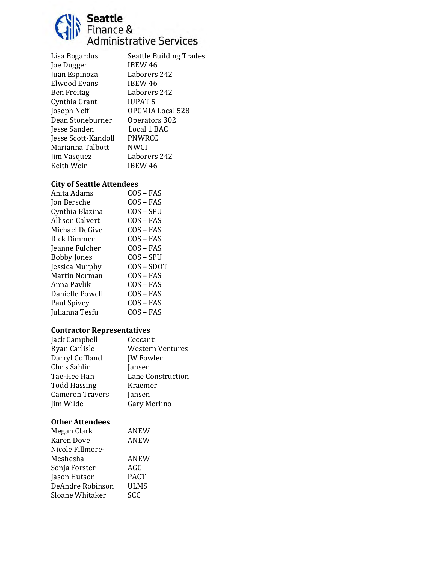

| Lisa Bogardus       | <b>Seattle Building Trades</b> |
|---------------------|--------------------------------|
| Joe Dugger          | IBEW 46                        |
| Juan Espinoza       | Laborers 242                   |
| Elwood Evans        | IBEW 46                        |
| <b>Ben Freitag</b>  | Laborers 242                   |
| Cynthia Grant       | <b>IUPAT 5</b>                 |
| Joseph Neff         | OPCMIA Local 528               |
| Dean Stoneburner    | Operators 302                  |
| Jesse Sanden        | Local 1 BAC                    |
| Jesse Scott-Kandoll | PNWRCC                         |
| Marianna Talbott    | NWCI                           |
| Jim Vasquez         | Laborers 242                   |
| Keith Weir          | IBEW 46                        |
|                     |                                |

# **City of Seattle Attendees**

| Anita Adams            | COS – FAS   |
|------------------------|-------------|
| Jon Bersche            | $COS - FAS$ |
| Cynthia Blazina        | COS – SPU   |
| <b>Allison Calvert</b> | $COS - FAS$ |
| Michael DeGive         | $COS - FAS$ |
| Rick Dimmer            | $COS - FAS$ |
| Jeanne Fulcher         | $COS - FAS$ |
| <b>Bobby Jones</b>     | COS – SPU   |
| Jessica Murphy         | COS-SDOT    |
| Martin Norman          | COS – FAS   |
| Anna Pavlik            | $COS - FAS$ |
| Danielle Powell        | $COS - FAS$ |
| Paul Spivey            | $COS - FAS$ |
| Julianna Tesfu         | $COS - FAS$ |

## **Contractor Representatives**

| Jack Campbell          | Ceccanti                |
|------------------------|-------------------------|
| Ryan Carlisle          | <b>Western Ventures</b> |
| Darryl Coffland        | <b>JW</b> Fowler        |
| Chris Sahlin           | Jansen                  |
| Tae-Hee Han            | Lane Construction       |
| <b>Todd Hassing</b>    | Kraemer                 |
| <b>Cameron Travers</b> | Jansen                  |
| Jim Wilde              | Gary Merlino            |

| Megan Clark      | <b>ANEW</b> |
|------------------|-------------|
| Karen Dove       | ANEW        |
| Nicole Fillmore- |             |
| Meshesha         | <b>ANEW</b> |
| Sonja Forster    | AGC         |
| Jason Hutson     | <b>PACT</b> |
| DeAndre Robinson | ULMS        |
| Sloane Whitaker  | SCC         |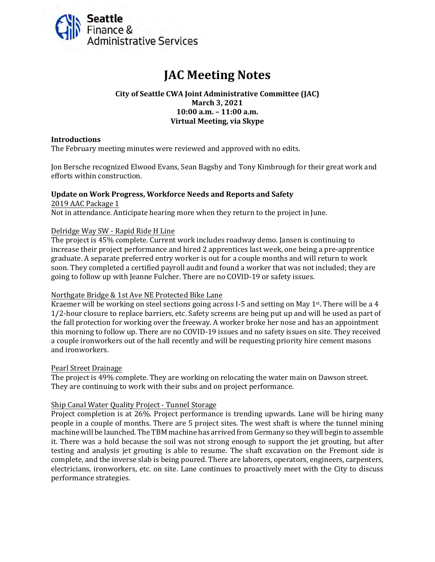<span id="page-7-0"></span>

# **JAC Meeting Notes**

#### **City of Seattle CWA Joint Administrative Committee (JAC) March 3, 2021 10:00 a.m. – 11:00 a.m. Virtual Meeting, via Skype**

#### **Introductions**

The February meeting minutes were reviewed and approved with no edits.

Jon Bersche recognized Elwood Evans, Sean Bagsby and Tony Kimbrough for their great work and efforts within construction.

#### **Update on Work Progress, Workforce Needs and Reports and Safety** 2019 AAC Package 1

Not in attendance. Anticipate hearing more when they return to the project in June.

#### Delridge Way SW - Rapid Ride H Line

The project is 45% complete. Current work includes roadway demo. Jansen is continuing to increase their project performance and hired 2 apprentices last week, one being a pre-apprentice graduate. A separate preferred entry worker is out for a couple months and will return to work soon. They completed a certified payroll audit and found a worker that was not included; they are going to follow up with Jeanne Fulcher. There are no COVID-19 or safety issues.

#### Northgate Bridge & 1st Ave NE Protected Bike Lane

Kraemer will be working on steel sections going across I-5 and setting on May 1<sup>st</sup>. There will be a 4 1/2-hour closure to replace barriers, etc. Safety screens are being put up and will be used as part of the fall protection for working over the freeway. A worker broke her nose and has an appointment this morning to follow up. There are no COVID-19 issues and no safety issues on site. They received a couple ironworkers out of the hall recently and will be requesting priority hire cement masons and ironworkers.

#### Pearl Street Drainage

The project is 49% complete. They are working on relocating the water main on Dawson street. They are continuing to work with their subs and on project performance.

#### Ship Canal Water Quality Project - Tunnel Storage

Project completion is at 26%. Project performance is trending upwards. Lane will be hiring many people in a couple of months. There are 5 project sites. The west shaft is where the tunnel mining machine will be launched. The TBM machine has arrived from Germany so they will begin to assemble it. There was a hold because the soil was not strong enough to support the jet grouting, but after testing and analysis jet grouting is able to resume. The shaft excavation on the Fremont side is complete, and the inverse slab is being poured. There are laborers, operators, engineers, carpenters, electricians, ironworkers, etc. on site. Lane continues to proactively meet with the City to discuss performance strategies.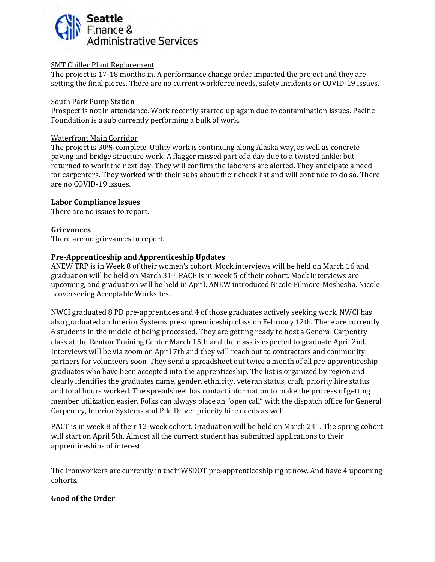

#### SMT Chiller Plant Replacement

The project is 17-18 months in. A performance change order impacted the project and they are setting the final pieces. There are no current workforce needs, safety incidents or COVID-19 issues.

#### South Park Pump Station

Prospect is not in attendance. Work recently started up again due to contamination issues. Pacific Foundation is a sub currently performing a bulk of work.

#### Waterfront Main Corridor

The project is 30% complete. Utility work is continuing along Alaska way, as well as concrete paving and bridge structure work. A flagger missed part of a day due to a twisted ankle; but returned to work the next day. They will confirm the laborers are alerted. They anticipate a need for carpenters. They worked with their subs about their check list and will continue to do so. There are no COVID-19 issues.

#### **Labor Compliance Issues**

There are no issues to report.

#### **Grievances**

There are no grievances to report.

#### **Pre-Apprenticeship and Apprenticeship Updates**

ANEW TRP is in Week 8 of their women's cohort. Mock interviews will be held on March 16 and graduation will be held on March  $31st$ . PACE is in week 5 of their cohort. Mock interviews are upcoming, and graduation will be held in April. ANEW introduced Nicole Filmore-Meshesha. Nicole is overseeing Acceptable Worksites.

NWCI graduated 8 PD pre-apprentices and 4 of those graduates actively seeking work. NWCI has also graduated an Interior Systems pre-apprenticeship class on February 12th. There are currently 6 students in the middle of being processed. They are getting ready to host a General Carpentry class at the Renton Training Center March 15th and the class is expected to graduate April 2nd. Interviews will be via zoom on April 7th and they will reach out to contractors and community partners for volunteers soon. They send a spreadsheet out twice a month of all pre-apprenticeship graduates who have been accepted into the apprenticeship. The list is organized by region and clearly identifies the graduates name, gender, ethnicity, veteran status, craft, priority hire status and total hours worked. The spreadsheet has contact information to make the process of getting member utilization easier. Folks can always place an "open call" with the dispatch office for General Carpentry, Interior Systems and Pile Driver priority hire needs as well.

PACT is in week 8 of their 12-week cohort. Graduation will be held on March 24th. The spring cohort will start on April 5th. Almost all the current student has submitted applications to their apprenticeships of interest.

The Ironworkers are currently in their WSDOT pre-apprenticeship right now. And have 4 upcoming cohorts.

#### **Good of the Order**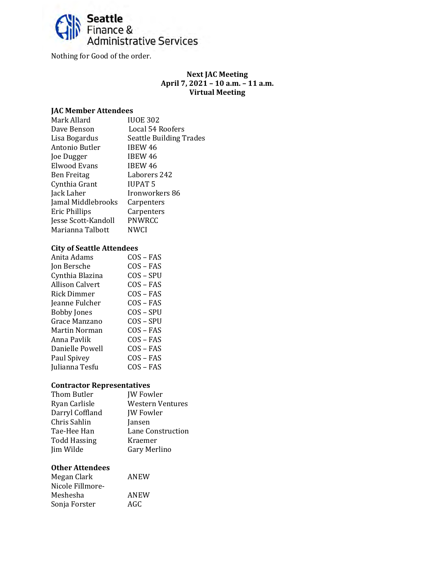

Nothing for Good of the order.

#### **Next JAC Meeting April 7, 2021 – 10 a.m. – 11 a.m. Virtual Meeting**

#### **JAC Member Attendees**

| Mark Allard          | <b>IUOE 302</b>                |
|----------------------|--------------------------------|
| Dave Benson          | Local 54 Roofers               |
| Lisa Bogardus        | <b>Seattle Building Trades</b> |
| Antonio Butler       | IBEW 46                        |
| Joe Dugger           | <b>IBEW 46</b>                 |
| Elwood Evans         | <b>IBEW 46</b>                 |
| <b>Ben Freitag</b>   | Laborers 242                   |
| Cynthia Grant        | <b>IUPAT 5</b>                 |
| Jack Laher           | Ironworkers 86                 |
| Jamal Middlebrooks   | Carpenters                     |
| <b>Eric Phillips</b> | Carpenters                     |
| Jesse Scott-Kandoll  | PNWRCC                         |
| Marianna Talbott     | NWCI                           |
|                      |                                |

#### **City of Seattle Attendees**

| Anita Adams            | $COS - FAS$ |
|------------------------|-------------|
| Jon Bersche            | $COS - FAS$ |
| Cynthia Blazina        | COS – SPU   |
| <b>Allison Calvert</b> | $COS - FAS$ |
| Rick Dimmer            | $COS - FAS$ |
| Jeanne Fulcher         | $COS - FAS$ |
| <b>Bobby Jones</b>     | $COS - SPU$ |
| Grace Manzano          | COS – SPU   |
| Martin Norman          | $COS - FAS$ |
| Anna Pavlik            | COS – FAS   |
| Danielle Powell        | $COS - FAS$ |
| Paul Spivey            | $COS - FAS$ |
| Julianna Tesfu         | $COS - FAS$ |
|                        |             |

# **Contractor Representatives**

| Thom Butler         | <b>JW</b> Fowler        |
|---------------------|-------------------------|
| Ryan Carlisle       | <b>Western Ventures</b> |
| Darryl Coffland     | <b>JW</b> Fowler        |
| Chris Sahlin        | Jansen                  |
| Tae-Hee Han         | Lane Construction       |
| <b>Todd Hassing</b> | Kraemer                 |
| Jim Wilde           | Gary Merlino            |
|                     |                         |

| Megan Clark      | ANEW |
|------------------|------|
| Nicole Fillmore- |      |
| Meshesha         | ANEW |
| Sonja Forster    | AGC  |
|                  |      |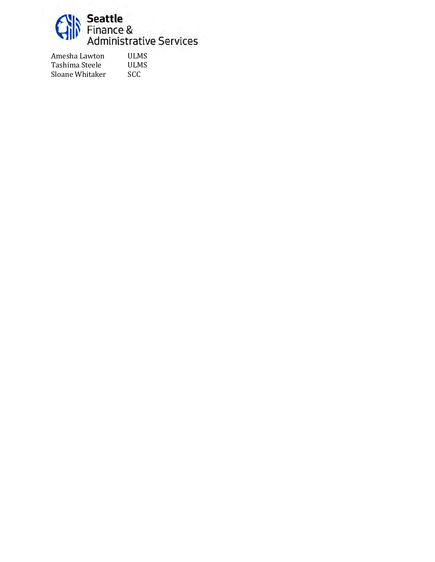

Amesha Lawton ULMS<br>Tashima Steele ULMS Tashima Steele ULM<br>Sloane Whitaker SCC Sloane Whitaker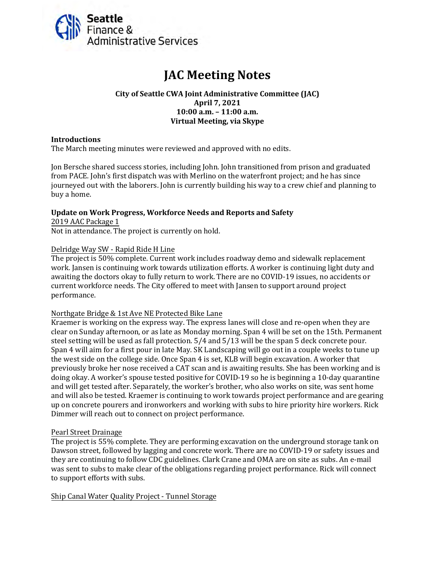<span id="page-11-0"></span>

# **JAC Meeting Notes**

#### **City of Seattle CWA Joint Administrative Committee (JAC) April 7, 2021 10:00 a.m. – 11:00 a.m. Virtual Meeting, via Skype**

#### **Introductions**

The March meeting minutes were reviewed and approved with no edits.

Jon Bersche shared success stories, including John. John transitioned from prison and graduated from PACE. John's first dispatch was with Merlino on the waterfront project; and he has since journeyed out with the laborers. John is currently building his way to a crew chief and planning to buy a home.

#### **Update on Work Progress, Workforce Needs and Reports and Safety**

2019 AAC Package 1 Not in attendance. The project is currently on hold.

#### Delridge Way SW - Rapid Ride H Line

The project is 50% complete. Current work includes roadway demo and sidewalk replacement work. Jansen is continuing work towards utilization efforts. A worker is continuing light duty and awaiting the doctors okay to fully return to work. There are no COVID-19 issues, no accidents or current workforce needs. The City offered to meet with Jansen to support around project performance.

#### Northgate Bridge & 1st Ave NE Protected Bike Lane

Kraemer is working on the express way. The express lanes will close and re-open when they are clear on Sunday afternoon, or as late as Monday morning. Span 4 will be set on the 15th. Permanent steel setting will be used as fall protection. 5/4 and 5/13 will be the span 5 deck concrete pour. Span 4 will aim for a first pour in late May. SK Landscaping will go out in a couple weeks to tune up the west side on the college side. Once Span 4 is set, KLB will begin excavation. A worker that previously broke her nose received a CAT scan and is awaiting results. She has been working and is doing okay. A worker's spouse tested positive for COVID-19 so he is beginning a 10-day quarantine and will get tested after. Separately, the worker's brother, who also works on site, was sent home and will also be tested. Kraemer is continuing to work towards project performance and are gearing up on concrete pourers and ironworkers and working with subs to hire priority hire workers. Rick Dimmer will reach out to connect on project performance.

#### Pearl Street Drainage

The project is 55% complete. They are performing excavation on the underground storage tank on Dawson street, followed by lagging and concrete work. There are no COVID-19 or safety issues and they are continuing to follow CDC guidelines. Clark Crane and OMA are on site as subs. An e-mail was sent to subs to make clear of the obligations regarding project performance. Rick will connect to support efforts with subs.

Ship Canal Water Quality Project - Tunnel Storage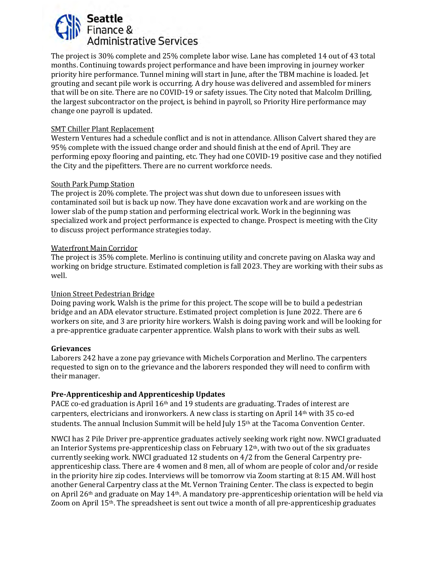

The project is 30% complete and 25% complete labor wise. Lane has completed 14 out of 43 total months. Continuing towards project performance and have been improving in journey worker priority hire performance. Tunnel mining will start in June, after the TBM machine is loaded. Jet grouting and secant pile work is occurring. A dry house was delivered and assembled for miners that will be on site. There are no COVID-19 or safety issues. The City noted that Malcolm Drilling, the largest subcontractor on the project, is behind in payroll, so Priority Hire performance may change one payroll is updated.

#### SMT Chiller Plant Replacement

Western Ventures had a schedule conflict and is not in attendance. Allison Calvert shared they are 95% complete with the issued change order and should finish at the end of April. They are performing epoxy flooring and painting, etc. They had one COVID-19 positive case and they notified the City and the pipefitters. There are no current workforce needs.

#### South Park Pump Station

The project is 20% complete. The project was shut down due to unforeseen issues with contaminated soil but is back up now. They have done excavation work and are working on the lower slab of the pump station and performing electrical work. Work in the beginning was specialized work and project performance is expected to change. Prospect is meeting with the City to discuss project performance strategies today.

#### Waterfront Main Corridor

The project is 35% complete. Merlino is continuing utility and concrete paving on Alaska way and working on bridge structure. Estimated completion is fall 2023. They are working with their subs as well.

#### Union Street Pedestrian Bridge

Doing paving work. Walsh is the prime for this project. The scope will be to build a pedestrian bridge and an ADA elevator structure. Estimated project completion is June 2022. There are 6 workers on site, and 3 are priority hire workers. Walsh is doing paving work and will be looking for a pre-apprentice graduate carpenter apprentice. Walsh plans to work with their subs as well.

#### **Grievances**

Laborers 242 have a zone pay grievance with Michels Corporation and Merlino. The carpenters requested to sign on to the grievance and the laborers responded they will need to confirm with their manager.

#### **Pre-Apprenticeship and Apprenticeship Updates**

PACE co-ed graduation is April 16<sup>th</sup> and 19 students are graduating. Trades of interest are carpenters, electricians and ironworkers. A new class is starting on April 14th with 35 co-ed students. The annual Inclusion Summit will be held July 15th at the Tacoma Convention Center.

NWCI has 2 Pile Driver pre-apprentice graduates actively seeking work right now. NWCI graduated an Interior Systems pre-apprenticeship class on February  $12<sup>th</sup>$ , with two out of the six graduates currently seeking work. NWCI graduated 12 students on 4/2 from the General Carpentry preapprenticeship class. There are 4 women and 8 men, all of whom are people of color and/or reside in the priority hire zip codes. Interviews will be tomorrow via Zoom starting at 8:15 AM. Will host another General Carpentry class at the Mt. Vernon Training Center. The class is expected to begin on April 26th and graduate on May 14th. A mandatory pre-apprenticeship orientation will be held via Zoom on April 15th. The spreadsheet is sent out twice a month of all pre-apprenticeship graduates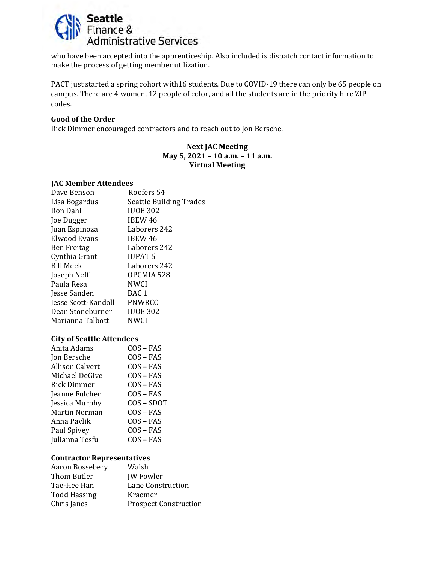

who have been accepted into the apprenticeship. Also included is dispatch contact information to make the process of getting member utilization.

PACT just started a spring cohort with16 students. Due to COVID-19 there can only be 65 people on campus. There are 4 women, 12 people of color, and all the students are in the priority hire ZIP codes.

#### **Good of the Order**

Rick Dimmer encouraged contractors and to reach out to Jon Bersche.

#### **Next JAC Meeting May 5, 2021 – 10 a.m. – 11 a.m. Virtual Meeting**

#### **JAC Member Attendees**

| Dave Benson         | Roofers 54                     |
|---------------------|--------------------------------|
| Lisa Bogardus       | <b>Seattle Building Trades</b> |
| Ron Dahl            | <b>IUOE 302</b>                |
| Joe Dugger          | IBEW 46                        |
| Juan Espinoza       | Laborers 242                   |
| Elwood Evans        | IBEW 46                        |
| <b>Ben Freitag</b>  | Laborers 242                   |
| Cynthia Grant       | <b>IUPAT 5</b>                 |
| <b>Bill Meek</b>    | Laborers 242                   |
| Joseph Neff         | OPCMIA 528                     |
| Paula Resa          | <b>NWCI</b>                    |
| Jesse Sanden        | BAC <sub>1</sub>               |
| Jesse Scott-Kandoll | PNWRCC                         |
| Dean Stoneburner    | <b>IUOE 302</b>                |
| Marianna Talbott    | <b>NWCI</b>                    |
|                     |                                |

#### **City of Seattle Attendees**

| Anita Adams        | $COS - FAS$  |
|--------------------|--------------|
| Jon Bersche        | $COS - FAS$  |
| Allison Calvert    | $COS - FAS$  |
| Michael DeGive     | $COS - FAS$  |
| <b>Rick Dimmer</b> | $COS - FAS$  |
| Jeanne Fulcher     | COS – FAS    |
| Jessica Murphy     | $COS - SDOT$ |
| Martin Norman      | COS – FAS    |
| Anna Pavlik        | $COS - FAS$  |
| Paul Spivey        | $COS - FAS$  |
| Julianna Tesfu     | COS – FAS    |
|                    |              |

#### **Contractor Representatives**

| Aaron Bossebery     | Walsh                        |
|---------------------|------------------------------|
| Thom Butler         | <b>JW</b> Fowler             |
| Tae-Hee Han         | Lane Construction            |
| <b>Todd Hassing</b> | Kraemer                      |
| Chris Janes         | <b>Prospect Construction</b> |
|                     |                              |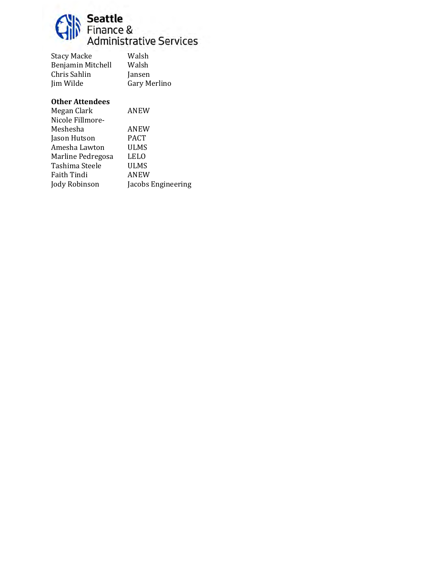

| <b>Stacy Macke</b> | Walsh        |
|--------------------|--------------|
| Benjamin Mitchell  | Walsh        |
| Chris Sahlin       | Jansen       |
| Jim Wilde          | Gary Merlino |
|                    |              |

| Megan Clark       | ANEW               |
|-------------------|--------------------|
| Nicole Fillmore-  |                    |
| Meshesha          | ANEW               |
| Jason Hutson      | <b>PACT</b>        |
| Amesha Lawton     | ULMS               |
| Marline Pedregosa | <b>LELO</b>        |
| Tashima Steele    | ULMS               |
| Faith Tindi       | ANEW               |
| Jody Robinson     | Jacobs Engineering |
|                   |                    |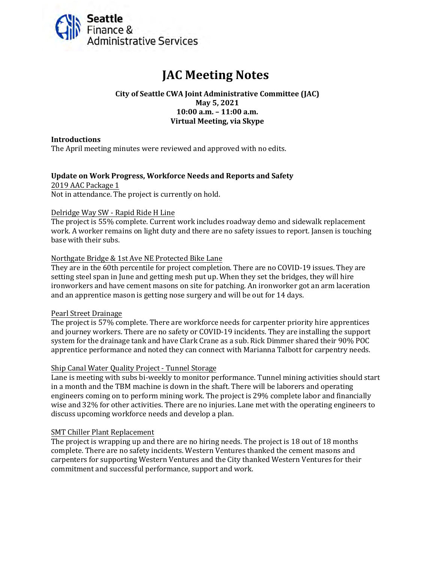<span id="page-15-0"></span>

# **JAC Meeting Notes**

#### **City of Seattle CWA Joint Administrative Committee (JAC) May 5, 2021 10:00 a.m. – 11:00 a.m. Virtual Meeting, via Skype**

#### **Introductions**

The April meeting minutes were reviewed and approved with no edits.

#### **Update on Work Progress, Workforce Needs and Reports and Safety**

2019 AAC Package 1 Not in attendance. The project is currently on hold.

#### Delridge Way SW - Rapid Ride H Line

The project is 55% complete. Current work includes roadway demo and sidewalk replacement work. A worker remains on light duty and there are no safety issues to report. Jansen is touching base with their subs.

#### Northgate Bridge & 1st Ave NE Protected Bike Lane

They are in the 60th percentile for project completion. There are no COVID-19 issues. They are setting steel span in June and getting mesh put up. When they set the bridges, they will hire ironworkers and have cement masons on site for patching. An ironworker got an arm laceration and an apprentice mason is getting nose surgery and will be out for 14 days.

#### Pearl Street Drainage

The project is 57% complete. There are workforce needs for carpenter priority hire apprentices and journey workers. There are no safety or COVID-19 incidents. They are installing the support system for the drainage tank and have Clark Crane as a sub. Rick Dimmer shared their 90% POC apprentice performance and noted they can connect with Marianna Talbott for carpentry needs.

#### Ship Canal Water Quality Project - Tunnel Storage

Lane is meeting with subs bi-weekly to monitor performance. Tunnel mining activities should start in a month and the TBM machine is down in the shaft. There will be laborers and operating engineers coming on to perform mining work. The project is 29% complete labor and financially wise and 32% for other activities. There are no injuries. Lane met with the operating engineers to discuss upcoming workforce needs and develop a plan.

#### SMT Chiller Plant Replacement

The project is wrapping up and there are no hiring needs. The project is 18 out of 18 months complete. There are no safety incidents. Western Ventures thanked the cement masons and carpenters for supporting Western Ventures and the City thanked Western Ventures for their commitment and successful performance, support and work.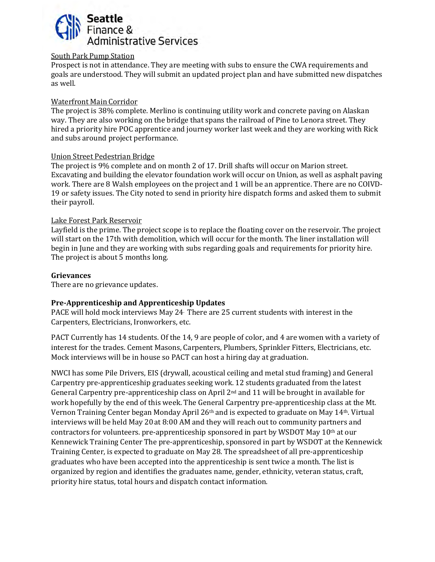

#### South Park Pump Station

Prospect is not in attendance. They are meeting with subs to ensure the CWA requirements and goals are understood. They will submit an updated project plan and have submitted new dispatches as well.

# Waterfront Main Corridor

The project is 38% complete. Merlino is continuing utility work and concrete paving on Alaskan way. They are also working on the bridge that spans the railroad of Pine to Lenora street. They hired a priority hire POC apprentice and journey worker last week and they are working with Rick and subs around project performance.

#### Union Street Pedestrian Bridge

The project is 9% complete and on month 2 of 17. Drill shafts will occur on Marion street. Excavating and building the elevator foundation work will occur on Union, as well as asphalt paving work. There are 8 Walsh employees on the project and 1 will be an apprentice. There are no COIVD-19 or safety issues. The City noted to send in priority hire dispatch forms and asked them to submit their payroll.

#### Lake Forest Park Reservoir

Layfield is the prime. The project scope is to replace the floating cover on the reservoir. The project will start on the 17th with demolition, which will occur for the month. The liner installation will begin in June and they are working with subs regarding goals and requirements for priority hire. The project is about 5 months long.

#### **Grievances**

There are no grievance updates.

#### **Pre-Apprenticeship and Apprenticeship Updates**

PACE will hold mock interviews May 24. There are 25 current students with interest in the Carpenters, Electricians, Ironworkers, etc.

PACT Currently has 14 students. Of the 14, 9 are people of color, and 4 are women with a variety of interest for the trades. Cement Masons, Carpenters, Plumbers, Sprinkler Fitters, Electricians, etc. Mock interviews will be in house so PACT can host a hiring day at graduation.

NWCI has some Pile Drivers, EIS (drywall, acoustical ceiling and metal stud framing) and General Carpentry pre-apprenticeship graduates seeking work. 12 students graduated from the latest General Carpentry pre-apprenticeship class on April  $2<sup>nd</sup>$  and 11 will be brought in available for work hopefully by the end of this week. The General Carpentry pre-apprenticeship class at the Mt. Vernon Training Center began Monday April 26th and is expected to graduate on May 14th. Virtual interviews will be held May 20 at 8:00 AM and they will reach out to community partners and contractors for volunteers. pre-apprenticeship sponsored in part by WSDOT May 10th at our Kennewick Training Center The pre-apprenticeship, sponsored in part by WSDOT at the Kennewick Training Center, is expected to graduate on May 28. The spreadsheet of all pre-apprenticeship graduates who have been accepted into the apprenticeship is sent twice a month. The list is organized by region and identifies the graduates name, gender, ethnicity, veteran status, craft, priority hire status, total hours and dispatch contact information.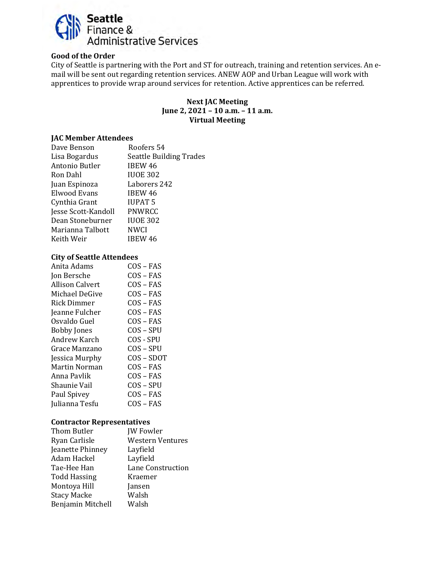

#### **Good of the Order**

City of Seattle is partnering with the Port and ST for outreach, training and retention services. An email will be sent out regarding retention services. ANEW AOP and Urban League will work with apprentices to provide wrap around services for retention. Active apprentices can be referred.

#### **Next JAC Meeting June 2, 2021 – 10 a.m. – 11 a.m. Virtual Meeting**

#### **JAC Member Attendees**

| Dave Benson         | Roofers 54                     |
|---------------------|--------------------------------|
| Lisa Bogardus       | <b>Seattle Building Trades</b> |
| Antonio Butler      | <b>IBEW 46</b>                 |
| Ron Dahl            | <b>IUOE 302</b>                |
| Juan Espinoza       | Laborers 242                   |
| Elwood Evans        | <b>IBEW 46</b>                 |
| Cynthia Grant       | <b>IUPAT 5</b>                 |
| Jesse Scott-Kandoll | PNWRCC                         |
| Dean Stoneburner    | <b>IUOE 302</b>                |
| Marianna Talbott    | <b>NWCI</b>                    |
| Keith Weir          | IBEW 46                        |
|                     |                                |

#### **City of Seattle Attendees**

| Anita Adams        | COS – FAS   |
|--------------------|-------------|
| Jon Bersche        | COS – FAS   |
| Allison Calvert    | COS – FAS   |
| Michael DeGive     | $COS - FAS$ |
| Rick Dimmer        | COS – FAS   |
| Jeanne Fulcher     | COS – FAS   |
| Osvaldo Guel       | $COS - FAS$ |
| <b>Bobby Jones</b> | COS – SPU   |
| Andrew Karch       | COS - SPU   |
| Grace Manzano      | COS – SPU   |
| Jessica Murphy     | COS – SDOT  |
| Martin Norman      | COS – FAS   |
| Anna Pavlik        | COS – FAS   |
| Shaunie Vail       | COS – SPU   |
| Paul Spivey        | COS – FAS   |
| Julianna Tesfu     | COS – FAS   |
|                    |             |

#### **Contractor Representatives**

| Thom Butler         | <b>JW</b> Fowler        |
|---------------------|-------------------------|
| Ryan Carlisle       | <b>Western Ventures</b> |
| Jeanette Phinney    | Layfield                |
| Adam Hackel         | Layfield                |
| Tae-Hee Han         | Lane Construction       |
| <b>Todd Hassing</b> | Kraemer                 |
| Montoya Hill        | Jansen                  |
| <b>Stacy Macke</b>  | Walsh                   |
| Benjamin Mitchell   | Walsh                   |
|                     |                         |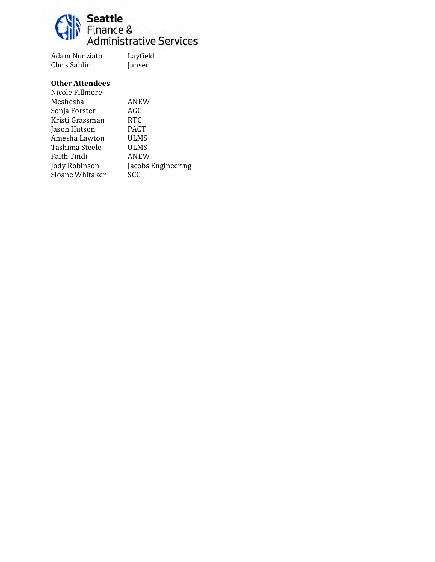

Adam Nunziato Layfield Chris Sahlin

| Nicole Fillmore- |                    |
|------------------|--------------------|
| Meshesha         | ANEW               |
| Sonja Forster    | AGC                |
| Kristi Grassman  | <b>RTC</b>         |
| Jason Hutson     | <b>PACT</b>        |
| Amesha Lawton    | ULMS               |
| Tashima Steele   | ULMS               |
| Faith Tindi      | ANEW               |
| Jody Robinson    | Jacobs Engineering |
| Sloane Whitaker  | SCC                |
|                  |                    |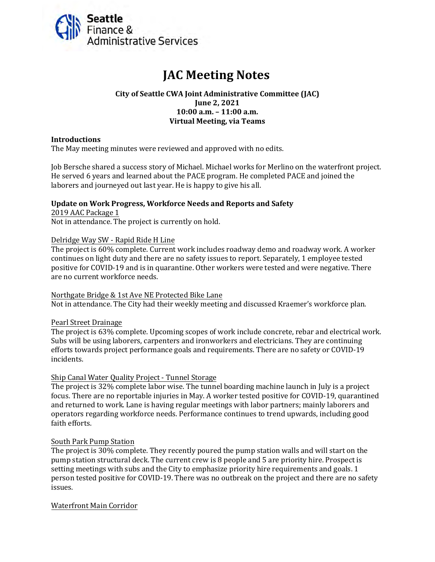<span id="page-19-0"></span>

# **JAC Meeting Notes**

#### **City of Seattle CWA Joint Administrative Committee (JAC) June 2, 2021 10:00 a.m. – 11:00 a.m. Virtual Meeting, via Teams**

#### **Introductions**

The May meeting minutes were reviewed and approved with no edits.

Job Bersche shared a success story of Michael. Michael works for Merlino on the waterfront project. He served 6 years and learned about the PACE program. He completed PACE and joined the laborers and journeyed out last year. He is happy to give his all.

# **Update on Work Progress, Workforce Needs and Reports and Safety** 2019 AAC Package 1

Not in attendance. The project is currently on hold.

#### Delridge Way SW - Rapid Ride H Line

The project is 60% complete. Current work includes roadway demo and roadway work. A worker continues on light duty and there are no safety issues to report. Separately, 1 employee tested positive for COVID-19 and is in quarantine. Other workers were tested and were negative. There are no current workforce needs.

#### Northgate Bridge & 1st Ave NE Protected Bike Lane

Not in attendance. The City had their weekly meeting and discussed Kraemer's workforce plan.

#### Pearl Street Drainage

The project is 63% complete. Upcoming scopes of work include concrete, rebar and electrical work. Subs will be using laborers, carpenters and ironworkers and electricians. They are continuing efforts towards project performance goals and requirements. There are no safety or COVID-19 incidents.

#### Ship Canal Water Quality Project - Tunnel Storage

The project is 32% complete labor wise. The tunnel boarding machine launch in July is a project focus. There are no reportable injuries in May. A worker tested positive for COVID-19, quarantined and returned to work. Lane is having regular meetings with labor partners; mainly laborers and operators regarding workforce needs. Performance continues to trend upwards, including good faith efforts.

#### South Park Pump Station

The project is 30% complete. They recently poured the pump station walls and will start on the pump station structural deck. The current crew is 8 people and 5 are priority hire. Prospect is setting meetings with subs and the City to emphasize priority hire requirements and goals. 1 person tested positive for COVID-19. There was no outbreak on the project and there are no safety issues.

#### Waterfront Main Corridor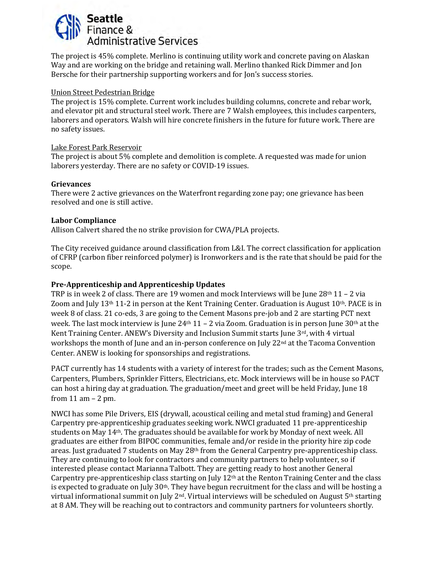

The project is 45% complete. Merlino is continuing utility work and concrete paving on Alaskan Way and are working on the bridge and retaining wall. Merlino thanked Rick Dimmer and Jon Bersche for their partnership supporting workers and for Jon's success stories.

#### Union Street Pedestrian Bridge

The project is 15% complete. Current work includes building columns, concrete and rebar work, and elevator pit and structural steel work. There are 7 Walsh employees, this includes carpenters, laborers and operators. Walsh will hire concrete finishers in the future for future work. There are no safety issues.

#### Lake Forest Park Reservoir

The project is about 5% complete and demolition is complete. A requested was made for union laborers yesterday. There are no safety or COVID-19 issues.

#### **Grievances**

There were 2 active grievances on the Waterfront regarding zone pay; one grievance has been resolved and one is still active.

#### **Labor Compliance**

Allison Calvert shared the no strike provision for CWA/PLA projects.

The City received guidance around classification from L&I. The correct classification for application of CFRP (carbon fiber reinforced polymer) is Ironworkers and is the rate that should be paid for the scope.

#### **Pre-Apprenticeship and Apprenticeship Updates**

TRP is in week 2 of class. There are 19 women and mock Interviews will be June  $28<sup>th</sup> 11 - 2$  via Zoom and July 13th 11-2 in person at the Kent Training Center. Graduation is August 10th. PACE is in week 8 of class. 21 co-eds, 3 are going to the Cement Masons pre-job and 2 are starting PCT next week. The last mock interview is June  $24th 11 - 2$  via Zoom. Graduation is in person June 30<sup>th</sup> at the Kent Training Center. ANEW's Diversity and Inclusion Summit starts June 3rd, with 4 virtual workshops the month of June and an in-person conference on July 22<sup>nd</sup> at the Tacoma Convention Center. ANEW is looking for sponsorships and registrations.

PACT currently has 14 students with a variety of interest for the trades; such as the Cement Masons, Carpenters, Plumbers, Sprinkler Fitters, Electricians, etc. Mock interviews will be in house so PACT can host a hiring day at graduation. The graduation/meet and greet will be held Friday, June 18 from 11 am – 2 pm.

NWCI has some Pile Drivers, EIS (drywall, acoustical ceiling and metal stud framing) and General Carpentry pre-apprenticeship graduates seeking work. NWCI graduated 11 pre-apprenticeship students on May 14th. The graduates should be available for work by Monday of next week. All graduates are either from BIPOC communities, female and/or reside in the priority hire zip code areas. Just graduated 7 students on May 28<sup>th</sup> from the General Carpentry pre-apprenticeship class. They are continuing to look for contractors and community partners to help volunteer, so if interested please contact Marianna Talbott. They are getting ready to host another General Carpentry pre-apprenticeship class starting on July  $12<sup>th</sup>$  at the Renton Training Center and the class is expected to graduate on July 30<sup>th</sup>. They have begun recruitment for the class and will be hosting a virtual informational summit on July  $2^{nd}$ . Virtual interviews will be scheduled on August  $5^{th}$  starting at 8 AM. They will be reaching out to contractors and community partners for volunteers shortly.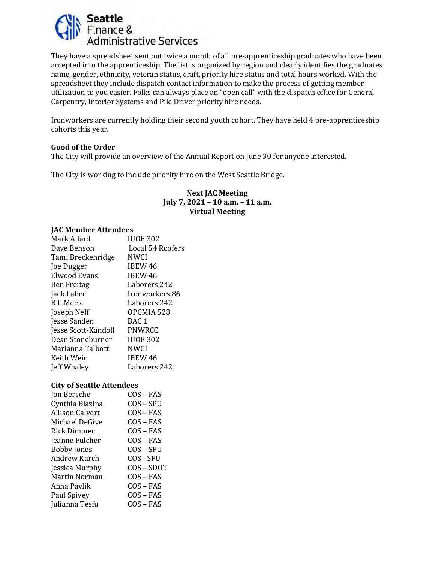

They have a spreadsheet sent out twice a month of all pre-apprenticeship graduates who have been accepted into the apprenticeship. The list is organized by region and clearly identifies the graduates name, gender, ethnicity, veteran status, craft, priority hire status and total hours worked. With the spreadsheet they include dispatch contact information to make the process of getting member utilization to you easier. Folks can always place an "open call" with the dispatch office for General Carpentry, Interior Systems and Pile Driver priority hire needs.

Ironworkers are currently holding their second youth cohort. They have held 4 pre-apprenticeship cohorts this year.

#### **Good of the Order**

The City will provide an overview of the Annual Report on June 30 for anyone interested.

The City is working to include priority hire on the West Seattle Bridge.

#### **Next JAC Meeting July 7, 2021 – 10 a.m. – 11 a.m. Virtual Meeting**

#### **JAC Member Attendees**

| Mark Allard         | <b>IUOE 302</b>  |
|---------------------|------------------|
| Dave Benson         | Local 54 Roofers |
| Tami Breckenridge   | NWCI             |
| Joe Dugger          | IBEW 46          |
| <b>Elwood Evans</b> | IBEW 46          |
| <b>Ben Freitag</b>  | Laborers 242     |
| Jack Laher          | Ironworkers 86   |
| <b>Bill Meek</b>    | Laborers 242     |
| Joseph Neff         | OPCMIA 528       |
| Jesse Sanden        | BAC 1            |
| Jesse Scott-Kandoll | <b>PNWRCC</b>    |
| Dean Stoneburner    | <b>IUOE 302</b>  |
| Marianna Talbott    | <b>NWCI</b>      |
| Keith Weir          | IBEW 46          |
| Jeff Whaley         | Laborers 242     |
|                     |                  |

#### **City of Seattle Attendees**

| Jon Bersche        | $COS - FAS$ |
|--------------------|-------------|
|                    |             |
| Cynthia Blazina    | $COS - SPU$ |
| Allison Calvert    | $COS - FAS$ |
| Michael DeGive     | COS – FAS   |
| Rick Dimmer        | COS – FAS   |
| Jeanne Fulcher     | $COS - FAS$ |
| <b>Bobby Jones</b> | $COS - SPU$ |
| Andrew Karch       | COS - SPU   |
| Jessica Murphy     | COS – SDOT  |
| Martin Norman      | $COS - FAS$ |
| Anna Pavlik        | COS – FAS   |
| Paul Spivey        | $COS - FAS$ |
| Julianna Tesfu     | $COS - FAS$ |
|                    |             |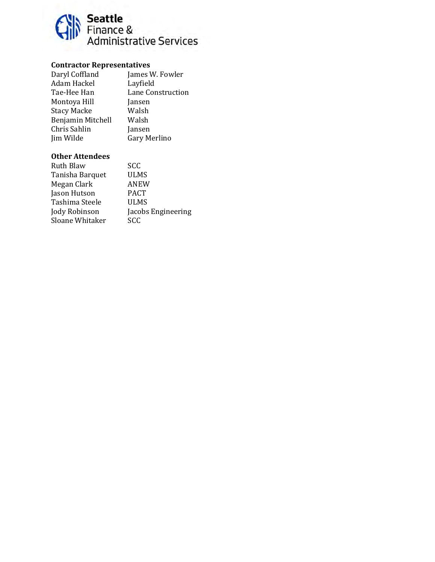

# **Contractor Representatives**

| Daryl Coffland     | James W. Fowler   |
|--------------------|-------------------|
| Adam Hackel        | Layfield          |
| Tae-Hee Han        | Lane Construction |
| Montoya Hill       | Jansen            |
| <b>Stacy Macke</b> | Walsh             |
| Benjamin Mitchell  | Walsh             |
| Chris Sahlin       | Jansen            |
| Jim Wilde          | Gary Merlino      |
|                    |                   |

| Ruth Blaw       | <b>SCC</b>         |
|-----------------|--------------------|
| Tanisha Barquet | <b>ULMS</b>        |
| Megan Clark     | ANEW               |
| Jason Hutson    | <b>PACT</b>        |
| Tashima Steele  | ULMS               |
| Jody Robinson   | Jacobs Engineering |
| Sloane Whitaker | <b>SCC</b>         |
|                 |                    |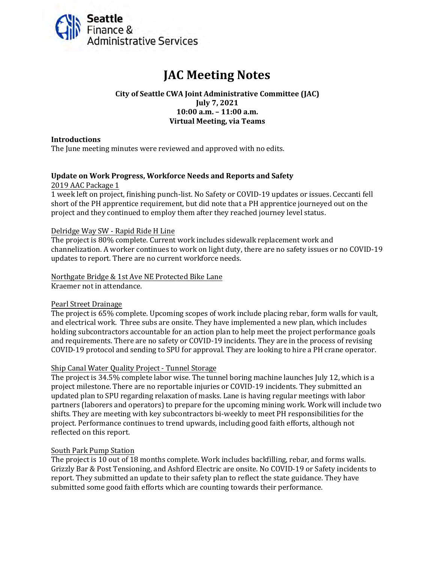<span id="page-23-0"></span>

# **JAC Meeting Notes**

#### **City of Seattle CWA Joint Administrative Committee (JAC) July 7, 2021 10:00 a.m. – 11:00 a.m. Virtual Meeting, via Teams**

#### **Introductions**

The June meeting minutes were reviewed and approved with no edits.

#### **Update on Work Progress, Workforce Needs and Reports and Safety**

2019 AAC Package 1

1 week left on project, finishing punch-list. No Safety or COVID-19 updates or issues. Ceccanti fell short of the PH apprentice requirement, but did note that a PH apprentice journeyed out on the project and they continued to employ them after they reached journey level status.

#### Delridge Way SW - Rapid Ride H Line

The project is 80% complete. Current work includes sidewalk replacement work and channelization. A worker continues to work on light duty, there are no safety issues or no COVID-19 updates to report. There are no current workforce needs.

Northgate Bridge & 1st Ave NE Protected Bike Lane Kraemer not in attendance.

#### Pearl Street Drainage

The project is 65% complete. Upcoming scopes of work include placing rebar, form walls for vault, and electrical work. Three subs are onsite. They have implemented a new plan, which includes holding subcontractors accountable for an action plan to help meet the project performance goals and requirements. There are no safety or COVID-19 incidents. They are in the process of revising COVID-19 protocol and sending to SPU for approval. They are looking to hire a PH crane operator.

#### Ship Canal Water Quality Project - Tunnel Storage

The project is 34.5% complete labor wise. The tunnel boring machine launches July 12, which is a project milestone. There are no reportable injuries or COVID-19 incidents. They submitted an updated plan to SPU regarding relaxation of masks. Lane is having regular meetings with labor partners (laborers and operators) to prepare for the upcoming mining work. Work will include two shifts. They are meeting with key subcontractors bi-weekly to meet PH responsibilities for the project. Performance continues to trend upwards, including good faith efforts, although not reflected on this report.

#### South Park Pump Station

The project is 10 out of 18 months complete. Work includes backfilling, rebar, and forms walls. Grizzly Bar & Post Tensioning, and Ashford Electric are onsite. No COVID-19 or Safety incidents to report. They submitted an update to their safety plan to reflect the state guidance. They have submitted some good faith efforts which are counting towards their performance.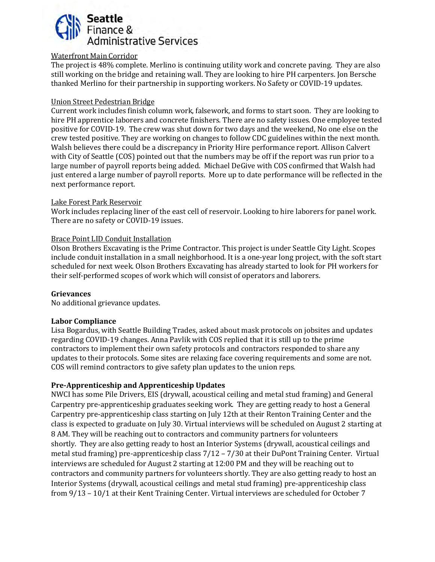# **Seattle** Finance & Administrative Services

#### Waterfront Main Corridor

The project is 48% complete. Merlino is continuing utility work and concrete paving. They are also still working on the bridge and retaining wall. They are looking to hire PH carpenters. Jon Bersche thanked Merlino for their partnership in supporting workers. No Safety or COVID-19 updates.

#### Union Street Pedestrian Bridge

Current work includes finish column work, falsework, and forms to start soon. They are looking to hire PH apprentice laborers and concrete finishers. There are no safety issues. One employee tested positive for COVID-19. The crew was shut down for two days and the weekend, No one else on the crew tested positive. They are working on changes to follow CDC guidelines within the next month. Walsh believes there could be a discrepancy in Priority Hire performance report. Allison Calvert with City of Seattle (COS) pointed out that the numbers may be off if the report was run prior to a large number of payroll reports being added. Michael DeGive with COS confirmed that Walsh had just entered a large number of payroll reports. More up to date performance will be reflected in the next performance report.

#### Lake Forest Park Reservoir

Work includes replacing liner of the east cell of reservoir. Looking to hire laborers for panel work. There are no safety or COVID-19 issues.

#### Brace Point LID Conduit Installation

Olson Brothers Excavating is the Prime Contractor. This project is under Seattle City Light. Scopes include conduit installation in a small neighborhood. It is a one-year long project, with the soft start scheduled for next week. Olson Brothers Excavating has already started to look for PH workers for their self-performed scopes of work which will consist of operators and laborers.

#### **Grievances**

No additional grievance updates.

#### **Labor Compliance**

Lisa Bogardus, with Seattle Building Trades, asked about mask protocols on jobsites and updates regarding COVID-19 changes. Anna Pavlik with COS replied that it is still up to the prime contractors to implement their own safety protocols and contractors responded to share any updates to their protocols. Some sites are relaxing face covering requirements and some are not. COS will remind contractors to give safety plan updates to the union reps.

#### **Pre-Apprenticeship and Apprenticeship Updates**

NWCI has some Pile Drivers, EIS (drywall, acoustical ceiling and metal stud framing) and General Carpentry pre-apprenticeship graduates seeking work. They are getting ready to host a General Carpentry pre-apprenticeship class starting on July 12th at their Renton Training Center and the class is expected to graduate on July 30. Virtual interviews will be scheduled on August 2 starting at 8 AM. They will be reaching out to contractors and community partners for volunteers shortly. They are also getting ready to host an Interior Systems (drywall, acoustical ceilings and metal stud framing) pre-apprenticeship class 7/12 – 7/30 at their DuPont Training Center. Virtual interviews are scheduled for August 2 starting at 12:00 PM and they will be reaching out to contractors and community partners for volunteers shortly. They are also getting ready to host an Interior Systems (drywall, acoustical ceilings and metal stud framing) pre-apprenticeship class from 9/13 – 10/1 at their Kent Training Center. Virtual interviews are scheduled for October 7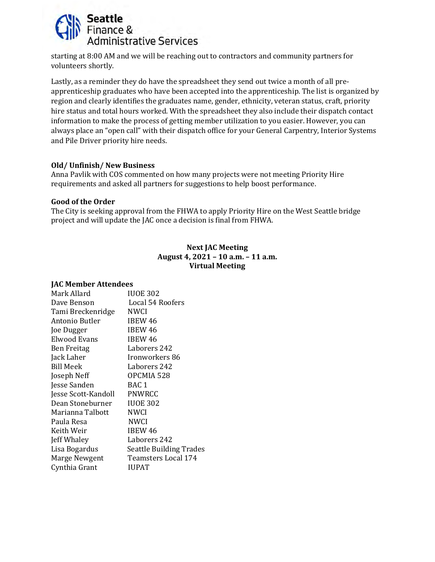

starting at 8:00 AM and we will be reaching out to contractors and community partners for volunteers shortly.

Lastly, as a reminder they do have the spreadsheet they send out twice a month of all preapprenticeship graduates who have been accepted into the apprenticeship. The list is organized by region and clearly identifies the graduates name, gender, ethnicity, veteran status, craft, priority hire status and total hours worked. With the spreadsheet they also include their dispatch contact information to make the process of getting member utilization to you easier. However, you can always place an "open call" with their dispatch office for your General Carpentry, Interior Systems and Pile Driver priority hire needs.

#### **Old/ Unfinish/ New Business**

Anna Pavlik with COS commented on how many projects were not meeting Priority Hire requirements and asked all partners for suggestions to help boost performance.

#### **Good of the Order**

The City is seeking approval from the FHWA to apply Priority Hire on the West Seattle bridge project and will update the JAC once a decision is final from FHWA.

#### **Next JAC Meeting August 4, 2021 – 10 a.m. – 11 a.m. Virtual Meeting**

#### **JAC Member Attendees**

| Mark Allard         | <b>IUOE 302</b>         |
|---------------------|-------------------------|
| Dave Benson         | Local 54 Roofers        |
| Tami Breckenridge   | <b>NWCI</b>             |
| Antonio Butler      | IBEW 46                 |
| Joe Dugger          | IBEW 46                 |
| <b>Elwood Evans</b> | <b>IBEW 46</b>          |
| <b>Ben Freitag</b>  | Laborers 242            |
| Jack Laher          | Ironworkers 86          |
| <b>Bill Meek</b>    | Laborers 242            |
| Joseph Neff         | OPCMIA 528              |
| Jesse Sanden        | BAC <sub>1</sub>        |
| Jesse Scott-Kandoll | <b>PNWRCC</b>           |
| Dean Stoneburner    | <b>IUOE 302</b>         |
| Marianna Talbott    | <b>NWCI</b>             |
| Paula Resa          | <b>NWCI</b>             |
| Keith Weir          | IBEW 46                 |
| Jeff Whaley         | Laborers 242            |
| Lisa Bogardus       | Seattle Building Trades |
| Marge Newgent       | Teamsters Local 174     |
| Cynthia Grant       | IUPAT                   |
|                     |                         |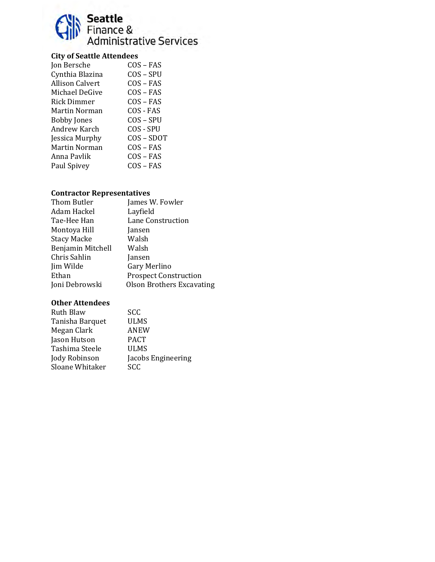

# **City of Seattle Attendees**

| Jon Bersche            | $COS - FAS$ |
|------------------------|-------------|
| Cynthia Blazina        | COS – SPU   |
| <b>Allison Calvert</b> | $COS - FAS$ |
| Michael DeGive         | $COS - FAS$ |
| Rick Dimmer            | $COS - FAS$ |
| Martin Norman          | COS - FAS   |
| <b>Bobby Jones</b>     | $COS - SPU$ |
| Andrew Karch           | COS - SPU   |
| Jessica Murphy         | COS-SDOT    |
| Martin Norman          | COS – FAS   |
| Anna Pavlik            | $COS - FAS$ |
| Paul Spivey            | $COS - FAS$ |
|                        |             |

## **Contractor Representatives**

| Thom Butler        | James W. Fowler                  |
|--------------------|----------------------------------|
| Adam Hackel        | Layfield                         |
| Tae-Hee Han        | Lane Construction                |
| Montoya Hill       | Jansen                           |
| <b>Stacy Macke</b> | Walsh                            |
| Benjamin Mitchell  | Walsh                            |
| Chris Sahlin       | Jansen                           |
| Jim Wilde          | Gary Merlino                     |
| Ethan              | <b>Prospect Construction</b>     |
| Joni Debrowski     | <b>Olson Brothers Excavating</b> |
|                    |                                  |

| Ruth Blaw       | <b>SCC</b>         |
|-----------------|--------------------|
| Tanisha Barquet | ULMS               |
| Megan Clark     | ANEW               |
| Jason Hutson    | <b>PACT</b>        |
| Tashima Steele  | <b>ULMS</b>        |
| Jody Robinson   | Jacobs Engineering |
| Sloane Whitaker | <b>SCC</b>         |
|                 |                    |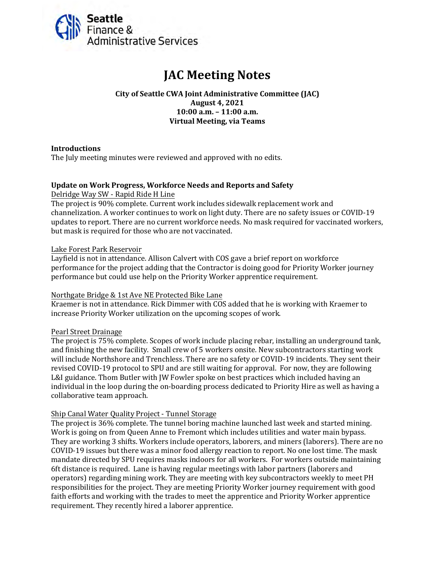<span id="page-27-0"></span>

# **JAC Meeting Notes**

**City of Seattle CWA Joint Administrative Committee (JAC) August 4, 2021 10:00 a.m. – 11:00 a.m. Virtual Meeting, via Teams**

#### **Introductions**

The July meeting minutes were reviewed and approved with no edits.

#### **Update on Work Progress, Workforce Needs and Reports and Safety** Delridge Way SW - Rapid Ride H Line

The project is 90% complete. Current work includes sidewalk replacement work and channelization. A worker continues to work on light duty. There are no safety issues or COVID-19 updates to report. There are no current workforce needs. No mask required for vaccinated workers, but mask is required for those who are not vaccinated.

#### Lake Forest Park Reservoir

Layfield is not in attendance. Allison Calvert with COS gave a brief report on workforce performance for the project adding that the Contractor is doing good for Priority Worker journey performance but could use help on the Priority Worker apprentice requirement.

#### Northgate Bridge & 1st Ave NE Protected Bike Lane

Kraemer is not in attendance. Rick Dimmer with COS added that he is working with Kraemer to increase Priority Worker utilization on the upcoming scopes of work.

#### Pearl Street Drainage

The project is 75% complete. Scopes of work include placing rebar, installing an underground tank, and finishing the new facility. Small crew of 5 workers onsite. New subcontractors starting work will include Northshore and Trenchless. There are no safety or COVID-19 incidents. They sent their revised COVID-19 protocol to SPU and are still waiting for approval. For now, they are following L&I guidance. Thom Butler with JW Fowler spoke on best practices which included having an individual in the loop during the on-boarding process dedicated to Priority Hire as well as having a collaborative team approach.

#### Ship Canal Water Quality Project - Tunnel Storage

The project is 36% complete. The tunnel boring machine launched last week and started mining. Work is going on from Queen Anne to Fremont which includes utilities and water main bypass. They are working 3 shifts. Workers include operators, laborers, and miners (laborers). There are no COVID-19 issues but there was a minor food allergy reaction to report. No one lost time. The mask mandate directed by SPU requires masks indoors for all workers. For workers outside maintaining 6ft distance is required. Lane is having regular meetings with labor partners (laborers and operators) regarding mining work. They are meeting with key subcontractors weekly to meet PH responsibilities for the project. They are meeting Priority Worker journey requirement with good faith efforts and working with the trades to meet the apprentice and Priority Worker apprentice requirement. They recently hired a laborer apprentice.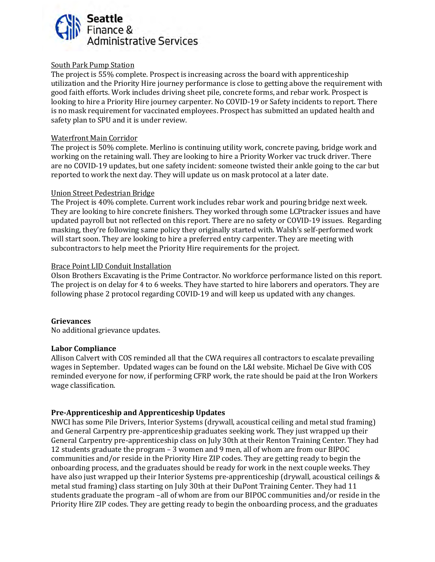

#### South Park Pump Station

The project is 55% complete. Prospect is increasing across the board with apprenticeship utilization and the Priority Hire journey performance is close to getting above the requirement with good faith efforts. Work includes driving sheet pile, concrete forms, and rebar work. Prospect is looking to hire a Priority Hire journey carpenter. No COVID-19 or Safety incidents to report. There is no mask requirement for vaccinated employees. Prospect has submitted an updated health and safety plan to SPU and it is under review.

#### Waterfront Main Corridor

The project is 50% complete. Merlino is continuing utility work, concrete paving, bridge work and working on the retaining wall. They are looking to hire a Priority Worker vac truck driver. There are no COVID-19 updates, but one safety incident: someone twisted their ankle going to the car but reported to work the next day. They will update us on mask protocol at a later date.

#### Union Street Pedestrian Bridge

The Project is 40% complete. Current work includes rebar work and pouring bridge next week. They are looking to hire concrete finishers. They worked through some LCPtracker issues and have updated payroll but not reflected on this report. There are no safety or COVID-19 issues. Regarding masking, they're following same policy they originally started with. Walsh's self-performed work will start soon. They are looking to hire a preferred entry carpenter. They are meeting with subcontractors to help meet the Priority Hire requirements for the project.

#### Brace Point LID Conduit Installation

Olson Brothers Excavating is the Prime Contractor. No workforce performance listed on this report. The project is on delay for 4 to 6 weeks. They have started to hire laborers and operators. They are following phase 2 protocol regarding COVID-19 and will keep us updated with any changes.

#### **Grievances**

No additional grievance updates.

#### **Labor Compliance**

Allison Calvert with COS reminded all that the CWA requires all contractors to escalate prevailing wages in September. Updated wages can be found on the L&I website. Michael De Give with COS reminded everyone for now, if performing CFRP work, the rate should be paid at the Iron Workers wage classification.

#### **Pre-Apprenticeship and Apprenticeship Updates**

NWCI has some Pile Drivers, Interior Systems (drywall, acoustical ceiling and metal stud framing) and General Carpentry pre-apprenticeship graduates seeking work. They just wrapped up their General Carpentry pre-apprenticeship class on July 30th at their Renton Training Center. They had 12 students graduate the program – 3 women and 9 men, all of whom are from our BIPOC communities and/or reside in the Priority Hire ZIP codes. They are getting ready to begin the onboarding process, and the graduates should be ready for work in the next couple weeks. They have also just wrapped up their Interior Systems pre-apprenticeship (drywall, acoustical ceilings & metal stud framing) class starting on July 30th at their DuPont Training Center. They had 11 students graduate the program –all of whom are from our BIPOC communities and/or reside in the Priority Hire ZIP codes. They are getting ready to begin the onboarding process, and the graduates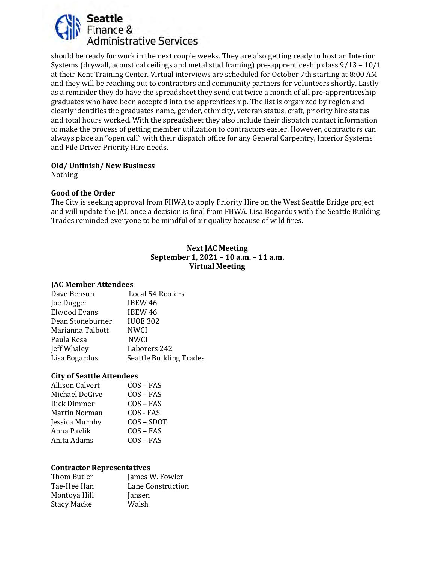

should be ready for work in the next couple weeks. They are also getting ready to host an Interior Systems (drywall, acoustical ceilings and metal stud framing) pre-apprenticeship class 9/13 – 10/1 at their Kent Training Center. Virtual interviews are scheduled for October 7th starting at 8:00 AM and they will be reaching out to contractors and community partners for volunteers shortly. Lastly as a reminder they do have the spreadsheet they send out twice a month of all pre-apprenticeship graduates who have been accepted into the apprenticeship. The list is organized by region and clearly identifies the graduates name, gender, ethnicity, veteran status, craft, priority hire status and total hours worked. With the spreadsheet they also include their dispatch contact information to make the process of getting member utilization to contractors easier. However, contractors can always place an "open call" with their dispatch office for any General Carpentry, Interior Systems and Pile Driver Priority Hire needs.

#### **Old/ Unfinish/ New Business**

Nothing

#### **Good of the Order**

The City is seeking approval from FHWA to apply Priority Hire on the West Seattle Bridge project and will update the JAC once a decision is final from FHWA. Lisa Bogardus with the Seattle Building Trades reminded everyone to be mindful of air quality because of wild fires.

#### **Next JAC Meeting September 1, 2021 – 10 a.m. – 11 a.m. Virtual Meeting**

#### **JAC Member Attendees**

| Dave Benson         | Local 54 Roofers               |
|---------------------|--------------------------------|
| Joe Dugger          | <b>IBEW 46</b>                 |
| <b>Elwood Evans</b> | <b>IBEW 46</b>                 |
| Dean Stoneburner    | <b>IUOE 302</b>                |
| Marianna Talbott    | <b>NWCI</b>                    |
| Paula Resa          | <b>NWCI</b>                    |
| Jeff Whaley         | Laborers 242                   |
| Lisa Bogardus       | <b>Seattle Building Trades</b> |
|                     |                                |

#### **City of Seattle Attendees**

| <b>Allison Calvert</b> | $COS - FAS$ |
|------------------------|-------------|
| Michael DeGive         | $COS - FAS$ |
| Rick Dimmer            | $COS - FAS$ |
| Martin Norman          | COS - FAS   |
| Jessica Murphy         | COS-SDOT    |
| Anna Pavlik            | $COS - FAS$ |
| Anita Adams            | $COS - FAS$ |
|                        |             |

#### **Contractor Representatives**

| Thom Butler        | James W. Fowler   |
|--------------------|-------------------|
| Tae-Hee Han        | Lane Construction |
| Montoya Hill       | Jansen            |
| <b>Stacy Macke</b> | Walsh             |
|                    |                   |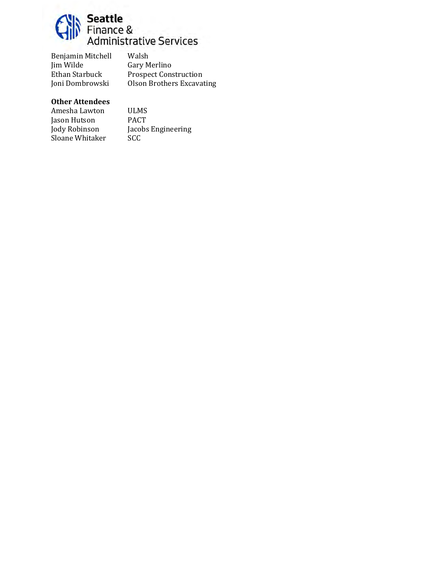

Benjamin Mitchell Walsh<br>Jim Wilde Gary M Jim Wilde Gary Merlino<br>Ethan Starbuck Prospect Cons Ethan Starbuck Prospect Construction<br>
Joni Dombrowski Olson Brothers Excavat

Olson Brothers Excavating

#### **Other Attendees**

Amesha Lawton ULMS<br>Jason Hutson PACT Jason Hutson<br>Jody Robinson Sloane Whitaker

Jacobs Engineering<br>SCC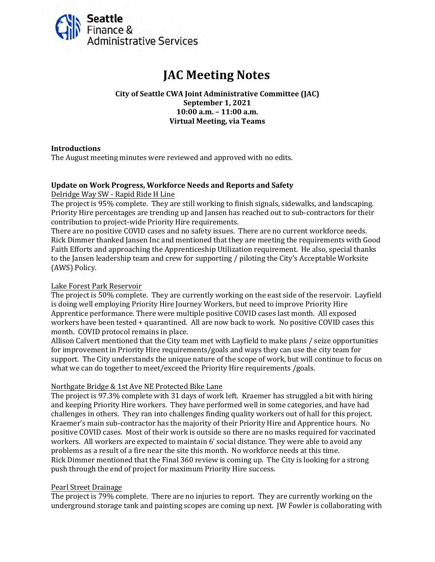<span id="page-31-0"></span>

# **JAC Meeting Notes**

**City of Seattle CWA Joint Administrative Committee (JAC) September 1, 2021 10:00 a.m. – 11:00 a.m. Virtual Meeting, via Teams**

#### **Introductions**

The August meeting minutes were reviewed and approved with no edits.

#### **Update on Work Progress, Workforce Needs and Reports and Safety** Delridge Way SW - Rapid Ride H Line

The project is 95% complete. They are still working to finish signals, sidewalks, and landscaping. Priority Hire percentages are trending up and Jansen has reached out to sub-contractors for their contribution to project-wide Priority Hire requirements.

There are no positive COVID cases and no safety issues. There are no current workforce needs. Rick Dimmer thanked Jansen Inc and mentioned that they are meeting the requirements with Good Faith Efforts and approaching the Apprenticeship Utilization requirement. He also, special thanks to the Jansen leadership team and crew for supporting / piloting the City's Acceptable Worksite (AWS) Policy.

#### Lake Forest Park Reservoir

The project is 50% complete. They are currently working on the east side of the reservoir. Layfield is doing well employing Priority Hire Journey Workers, but need to improve Priority Hire Apprentice performance. There were multiple positive COVID cases last month. All exposed workers have been tested + quarantined. All are now back to work. No positive COVID cases this month. COVID protocol remains in place.

Allison Calvert mentioned that the City team met with Layfield to make plans / seize opportunities for improvement in Priority Hire requirements/goals and ways they can use the city team for support. The City understands the unique nature of the scope of work, but will continue to focus on what we can do together to meet/exceed the Priority Hire requirements /goals.

#### Northgate Bridge & 1st Ave NE Protected Bike Lane

The project is 97.3% complete with 31 days of work left. Kraemer has struggled a bit with hiring and keeping Priority Hire workers. They have performed well in some categories, and have had challenges in others. They ran into challenges finding quality workers out of hall for this project. Kraemer's main sub-contractor has the majority of their Priority Hire and Apprentice hours. No positive COVID cases. Most of their work is outside so there are no masks required for vaccinated workers. All workers are expected to maintain 6' social distance. They were able to avoid any problems as a result of a fire near the site this month. No workforce needs at this time. Rick Dimmer mentioned that the Final 360 review is coming up. The City is looking for a strong push through the end of project for maximum Priority Hire success.

#### Pearl Street Drainage

The project is 79% complete. There are no injuries to report. They are currently working on the underground storage tank and painting scopes are coming up next. JW Fowler is collaborating with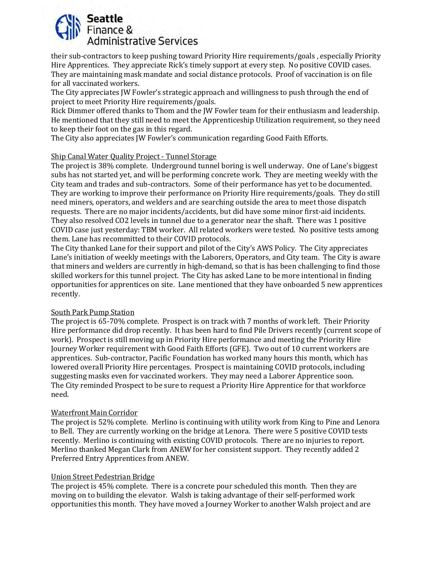# Seattle Finance & **Administrative Services**

their sub-contractors to keep pushing toward Priority Hire requirements/goals , especially Priority Hire Apprentices. They appreciate Rick's timely support at every step. No positive COVID cases. They are maintaining mask mandate and social distance protocols. Proof of vaccination is on file for all vaccinated workers.

The City appreciates JW Fowler's strategic approach and willingness to push through the end of project to meet Priority Hire requirements/goals.

Rick Dimmer offered thanks to Thom and the JW Fowler team for their enthusiasm and leadership. He mentioned that they still need to meet the Apprenticeship Utilization requirement, so they need to keep their foot on the gas in this regard.

The City also appreciates JW Fowler's communication regarding Good Faith Efforts.

# Ship Canal Water Quality Project - Tunnel Storage

The project is 38% complete. Underground tunnel boring is well underway. One of Lane's biggest subs has not started yet, and will be performing concrete work. They are meeting weekly with the City team and trades and sub-contractors. Some of their performance has yet to be documented. They are working to improve their performance on Priority Hire requirements/goals. They do still need miners, operators, and welders and are searching outside the area to meet those dispatch requests. There are no major incidents/accidents, but did have some minor first-aid incidents. They also resolved CO2 levels in tunnel due to a generator near the shaft. There was 1 positive COVID case just yesterday: TBM worker. All related workers were tested. No positive tests among them. Lane has recommitted to their COVID protocols.

The City thanked Lane for their support and pilot of the City's AWS Policy. The City appreciates Lane's initiation of weekly meetings with the Laborers, Operators, and City team. The City is aware that miners and welders are currently in high-demand, so that is has been challenging to find those skilled workers for this tunnel project. The City has asked Lane to be more intentional in finding opportunities for apprentices on site. Lane mentioned that they have onboarded 5 new apprentices recently.

#### South Park Pump Station

The project is 65-70% complete. Prospect is on track with 7 months of work left. Their Priority Hire performance did drop recently. It has been hard to find Pile Drivers recently (current scope of work). Prospect is still moving up in Priority Hire performance and meeting the Priority Hire Journey Worker requirement with Good Faith Efforts (GFE). Two out of 10 current workers are apprentices. Sub-contractor, Pacific Foundation has worked many hours this month, which has lowered overall Priority Hire percentages. Prospect is maintaining COVID protocols, including suggesting masks even for vaccinated workers. They may need a Laborer Apprentice soon. The City reminded Prospect to be sure to request a Priority Hire Apprentice for that workforce need.

# Waterfront Main Corridor

The project is 52% complete. Merlino is continuing with utility work from King to Pine and Lenora to Bell. They are currently working on the bridge at Lenora. There were 5 positive COVID tests recently. Merlino is continuing with existing COVID protocols. There are no injuries to report. Merlino thanked Megan Clark from ANEW for her consistent support. They recently added 2 Preferred Entry Apprentices from ANEW.

#### Union Street Pedestrian Bridge

The project is 45% complete. There is a concrete pour scheduled this month. Then they are moving on to building the elevator. Walsh is taking advantage of their self-performed work opportunities this month. They have moved a Journey Worker to another Walsh project and are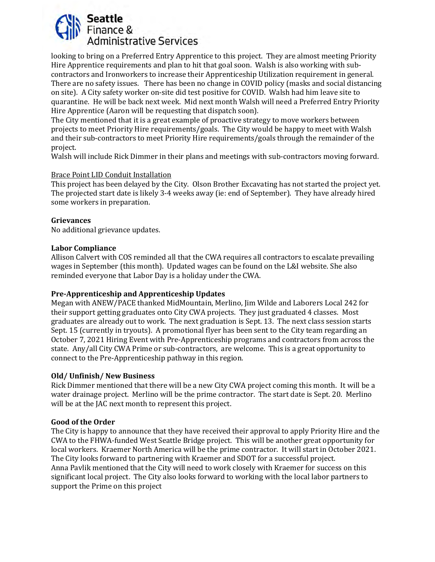

looking to bring on a Preferred Entry Apprentice to this project. They are almost meeting Priority Hire Apprentice requirements and plan to hit that goal soon. Walsh is also working with subcontractors and Ironworkers to increase their Apprenticeship Utilization requirement in general. There are no safety issues. There has been no change in COVID policy (masks and social distancing on site). A City safety worker on-site did test positive for COVID. Walsh had him leave site to quarantine. He will be back next week. Mid next month Walsh will need a Preferred Entry Priority Hire Apprentice (Aaron will be requesting that dispatch soon).

The City mentioned that it is a great example of proactive strategy to move workers between projects to meet Priority Hire requirements/goals. The City would be happy to meet with Walsh and their sub-contractors to meet Priority Hire requirements/goals through the remainder of the project.

Walsh will include Rick Dimmer in their plans and meetings with sub-contractors moving forward.

#### Brace Point LID Conduit Installation

This project has been delayed by the City. Olson Brother Excavating has not started the project yet. The projected start date is likely 3-4 weeks away (ie: end of September). They have already hired some workers in preparation.

#### **Grievances**

No additional grievance updates.

#### **Labor Compliance**

Allison Calvert with COS reminded all that the CWA requires all contractors to escalate prevailing wages in September (this month). Updated wages can be found on the L&I website. She also reminded everyone that Labor Day is a holiday under the CWA.

#### **Pre-Apprenticeship and Apprenticeship Updates**

Megan with ANEW/PACE thanked MidMountain, Merlino, Jim Wilde and Laborers Local 242 for their support getting graduates onto City CWA projects. They just graduated 4 classes. Most graduates are already out to work. The next graduation is Sept. 13. The next class session starts Sept. 15 (currently in tryouts). A promotional flyer has been sent to the City team regarding an October 7, 2021 Hiring Event with Pre-Apprenticeship programs and contractors from across the state. Any/all City CWA Prime or sub-contractors, are welcome. This is a great opportunity to connect to the Pre-Apprenticeship pathway in this region.

#### **Old/ Unfinish/ New Business**

Rick Dimmer mentioned that there will be a new City CWA project coming this month. It will be a water drainage project. Merlino will be the prime contractor. The start date is Sept. 20. Merlino will be at the JAC next month to represent this project.

#### **Good of the Order**

The City is happy to announce that they have received their approval to apply Priority Hire and the CWA to the FHWA-funded West Seattle Bridge project. This will be another great opportunity for local workers. Kraemer North America will be the prime contractor. It will start in October 2021. The City looks forward to partnering with Kraemer and SDOT for a successful project. Anna Pavlik mentioned that the City will need to work closely with Kraemer for success on this significant local project. The City also looks forward to working with the local labor partners to support the Prime on this project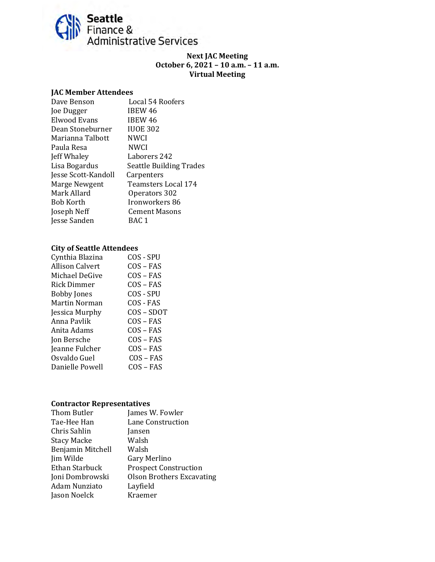

#### **Next JAC Meeting October 6, 2021 – 10 a.m. – 11 a.m. Virtual Meeting**

#### **JAC Member Attendees**

| Dave Benson         | Local 54 Roofers               |
|---------------------|--------------------------------|
| Joe Dugger          | IBEW 46                        |
| Elwood Evans        | IBEW 46                        |
| Dean Stoneburner    | <b>IUOE 302</b>                |
| Marianna Talbott    | <b>NWCI</b>                    |
| Paula Resa          | <b>NWCI</b>                    |
| Jeff Whaley         | Laborers 242                   |
| Lisa Bogardus       | <b>Seattle Building Trades</b> |
| Jesse Scott-Kandoll | Carpenters                     |
| Marge Newgent       | Teamsters Local 174            |
| Mark Allard         | Operators 302                  |
| Bob Korth           | Ironworkers 86                 |
| Joseph Neff         | Cement Masons                  |
| Jesse Sanden        | BAC 1                          |
|                     |                                |

#### **City of Seattle Attendees**

| Cynthia Blazina    | COS - SPU   |
|--------------------|-------------|
| Allison Calvert    | $COS - FAS$ |
| Michael DeGive     | $COS - FAS$ |
| <b>Rick Dimmer</b> | $COS - FAS$ |
| <b>Bobby Jones</b> | COS - SPU   |
| Martin Norman      | COS - FAS   |
| Jessica Murphy     | COS-SDOT    |
| Anna Pavlik        | $COS - FAS$ |
| Anita Adams        | $COS - FAS$ |
| Jon Bersche        | COS – FAS   |
| Jeanne Fulcher     | COS – FAS   |
| Osvaldo Guel       | $COS - FAS$ |
| Danielle Powell    | COS – FAS   |
|                    |             |

#### **Contractor Representatives**

| Thom Butler          | James W. Fowler                  |
|----------------------|----------------------------------|
| Tae-Hee Han          | Lane Construction                |
| Chris Sahlin         | Jansen                           |
| <b>Stacy Macke</b>   | Walsh                            |
| Benjamin Mitchell    | Walsh                            |
| Jim Wilde            | Gary Merlino                     |
| Ethan Starbuck       | <b>Prospect Construction</b>     |
| Joni Dombrowski      | <b>Olson Brothers Excavating</b> |
| <b>Adam Nunziato</b> | Layfield                         |
| Jason Noelck         | Kraemer                          |
|                      |                                  |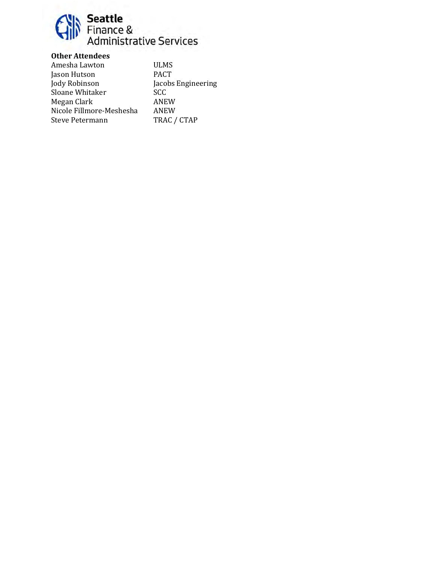

## **Other Attendees**

Amesha Lawton ULMS<br>Jason Hutson PACT Jason Hutson<br>Jody Robinson Jacobs Engineering<br>SCC Sloane Whitaker SCC<br>Megan Clark ANEW Megan Clark ANEW Nicole Fillmore-Meshesha ANEW Steve Petermann TRAC / CTAP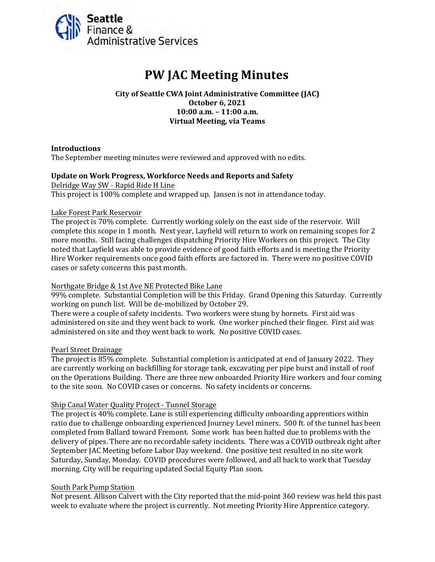<span id="page-36-0"></span>

# **PW JAC Meeting Minutes**

**City of Seattle CWA Joint Administrative Committee (JAC) October 6, 2021 10:00 a.m. – 11:00 a.m. Virtual Meeting, via Teams**

#### **Introductions**

The September meeting minutes were reviewed and approved with no edits.

#### **Update on Work Progress, Workforce Needs and Reports and Safety**

Delridge Way SW - Rapid Ride H Line This project is 100% complete and wrapped up. Jansen is not in attendance today.

#### Lake Forest Park Reservoir

The project is 70% complete. Currently working solely on the east side of the reservoir. Will complete this scope in 1 month. Next year, Layfield will return to work on remaining scopes for 2 more months. Still facing challenges dispatching Priority Hire Workers on this project. The City noted that Layfield was able to provide evidence of good faith efforts and is meeting the Priority Hire Worker requirements once good faith efforts are factored in. There were no positive COVID cases or safety concerns this past month.

#### Northgate Bridge & 1st Ave NE Protected Bike Lane

99% complete. Substantial Completion will be this Friday. Grand Opening this Saturday. Currently working on punch list. Will be de-mobilized by October 29.

There were a couple of safety incidents. Two workers were stung by hornets. First aid was administered on site and they went back to work. One worker pinched their finger. First aid was administered on site and they went back to work. No positive COVID cases.

#### Pearl Street Drainage

The project is 85% complete. Substantial completion is anticipated at end of January 2022. They are currently working on backfilling for storage tank, excavating per pipe burst and install of roof on the Operations Building. There are three new onboarded Priority Hire workers and four coming to the site soon. No COVID cases or concerns. No safety incidents or concerns.

#### Ship Canal Water Quality Project - Tunnel Storage

The project is 40% complete. Lane is still experiencing difficulty onboarding apprentices within ratio due to challenge onboarding experienced Journey Level miners. 500 ft. of the tunnel has been completed from Ballard toward Fremont. Some work has been halted due to problems with the delivery of pipes. There are no recordable safety incidents. There was a COVID outbreak right after September JAC Meeting before Labor Day weekend. One positive test resulted in no site work Saturday, Sunday, Monday. COVID procedures were followed, and all back to work that Tuesday morning. City will be requiring updated Social Equity Plan soon.

#### South Park Pump Station

Not present. Allison Calvert with the City reported that the mid-point 360 review was held this past week to evaluate where the project is currently. Not meeting Priority Hire Apprentice category.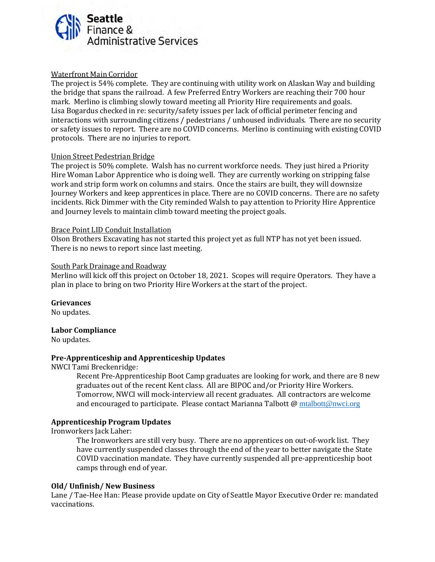

#### Waterfront Main Corridor

The project is 54% complete. They are continuing with utility work on Alaskan Way and building the bridge that spans the railroad. A few Preferred Entry Workers are reaching their 700 hour mark. Merlino is climbing slowly toward meeting all Priority Hire requirements and goals. Lisa Bogardus checked in re: security/safety issues per lack of official perimeter fencing and interactions with surrounding citizens / pedestrians / unhoused individuals. There are no security or safety issues to report. There are no COVID concerns. Merlino is continuing with existing COVID protocols. There are no injuries to report.

#### Union Street Pedestrian Bridge

The project is 50% complete. Walsh has no current workforce needs. They just hired a Priority Hire Woman Labor Apprentice who is doing well. They are currently working on stripping false work and strip form work on columns and stairs. Once the stairs are built, they will downsize Journey Workers and keep apprentices in place. There are no COVID concerns. There are no safety incidents. Rick Dimmer with the City reminded Walsh to pay attention to Priority Hire Apprentice and Journey levels to maintain climb toward meeting the project goals.

#### Brace Point LID Conduit Installation

Olson Brothers Excavating has not started this project yet as full NTP has not yet been issued. There is no news to report since last meeting.

#### South Park Drainage and Roadway

Merlino will kick off this project on October 18, 2021. Scopes will require Operators. They have a plan in place to bring on two Priority Hire Workers at the start of the project.

**Grievances** No updates.

#### **Labor Compliance**

No updates.

#### **Pre-Apprenticeship and Apprenticeship Updates**

NWCI Tami Breckenridge:

Recent Pre-Apprenticeship Boot Camp graduates are looking for work, and there are 8 new graduates out of the recent Kent class. All are BIPOC and/or Priority Hire Workers. Tomorrow, NWCI will mock-interview all recent graduates. All contractors are welcome and encouraged to participate. Please contact Marianna Talbott @ mtalbott @nwci.org

#### **Apprenticeship Program Updates**

Ironworkers Jack Laher:

The Ironworkers are still very busy. There are no apprentices on out-of-work list. They have currently suspended classes through the end of the year to better navigate the State COVID vaccination mandate. They have currently suspended all pre-apprenticeship boot camps through end of year.

#### **Old/ Unfinish/ New Business**

Lane / Tae-Hee Han: Please provide update on City of Seattle Mayor Executive Order re: mandated vaccinations.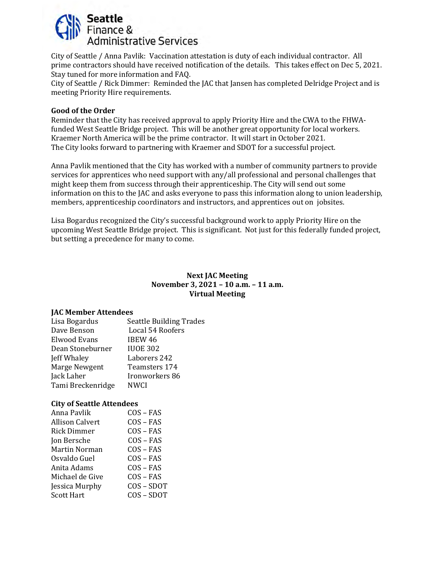

City of Seattle / Anna Pavlik: Vaccination attestation is duty of each individual contractor. All prime contractors should have received notification of the details. This takes effect on Dec 5, 2021. Stay tuned for more information and FAQ.

City of Seattle / Rick Dimmer: Reminded the JAC that Jansen has completed Delridge Project and is meeting Priority Hire requirements.

#### **Good of the Order**

Reminder that the City has received approval to apply Priority Hire and the CWA to the FHWAfunded West Seattle Bridge project. This will be another great opportunity for local workers. Kraemer North America will be the prime contractor. It will start in October 2021. The City looks forward to partnering with Kraemer and SDOT for a successful project.

Anna Pavlik mentioned that the City has worked with a number of community partners to provide services for apprentices who need support with any/all professional and personal challenges that might keep them from success through their apprenticeship. The City will send out some information on this to the JAC and asks everyone to pass this information along to union leadership, members, apprenticeship coordinators and instructors, and apprentices out on jobsites.

Lisa Bogardus recognized the City's successful background work to apply Priority Hire on the upcoming West Seattle Bridge project. This is significant. Not just for this federally funded project, but setting a precedence for many to come.

#### **Next JAC Meeting November 3, 2021 – 10 a.m. – 11 a.m. Virtual Meeting**

#### **JAC Member Attendees**

| Lisa Bogardus     | <b>Seattle Building Trades</b> |
|-------------------|--------------------------------|
| Dave Benson       | Local 54 Roofers               |
| Elwood Evans      | <b>IBEW 46</b>                 |
| Dean Stoneburner  | <b>IUOE 302</b>                |
| Jeff Whaley       | Laborers 242                   |
| Marge Newgent     | Teamsters 174                  |
| Jack Laher        | Ironworkers 86                 |
| Tami Breckenridge | <b>NWCI</b>                    |
|                   |                                |

#### **City of Seattle Attendees**

| Anna Pavlik            | $COS - FAS$ |
|------------------------|-------------|
| <b>Allison Calvert</b> | $COS - FAS$ |
| Rick Dimmer            | $COS - FAS$ |
| Jon Bersche            | $COS - FAS$ |
| Martin Norman          | $COS - FAS$ |
| Osvaldo Guel           | $COS - FAS$ |
| Anita Adams            | $COS - FAS$ |
| Michael de Give        | $COS - FAS$ |
| Jessica Murphy         | COS-SDOT    |
| <b>Scott Hart</b>      | COS-SDOT    |
|                        |             |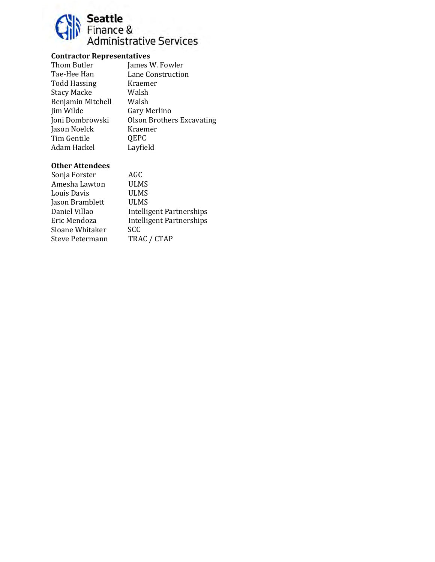

## **Contractor Representatives**

| Thom Butler         | James W. Fowler                  |
|---------------------|----------------------------------|
| Tae-Hee Han         | Lane Construction                |
| <b>Todd Hassing</b> | Kraemer                          |
| <b>Stacy Macke</b>  | Walsh                            |
| Benjamin Mitchell   | Walsh                            |
| Jim Wilde           | Gary Merlino                     |
| Joni Dombrowski     | <b>Olson Brothers Excavating</b> |
| Jason Noelck        | Kraemer                          |
| Tim Gentile         | QEPC                             |
| Adam Hackel         | Layfield                         |
|                     |                                  |

| Sonja Forster   | AGC                             |
|-----------------|---------------------------------|
| Amesha Lawton   | <b>ULMS</b>                     |
| Louis Davis     | <b>ULMS</b>                     |
| Jason Bramblett | <b>ULMS</b>                     |
| Daniel Villao   | <b>Intelligent Partnerships</b> |
| Eric Mendoza    | <b>Intelligent Partnerships</b> |
| Sloane Whitaker | <b>SCC</b>                      |
| Steve Petermann | TRAC / CTAP                     |
|                 |                                 |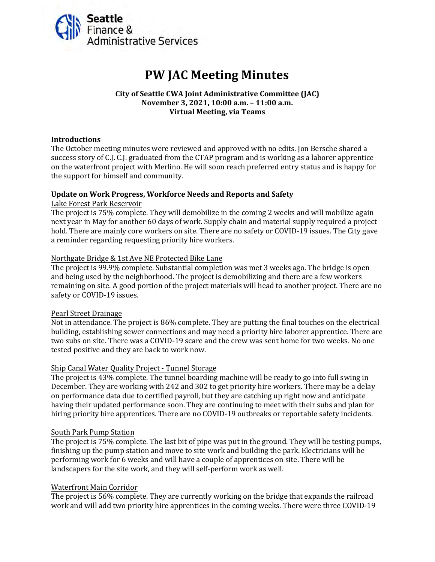<span id="page-40-0"></span>

# **PW JAC Meeting Minutes**

#### **City of Seattle CWA Joint Administrative Committee (JAC) November 3, 2021, 10:00 a.m. – 11:00 a.m. Virtual Meeting, via Teams**

#### **Introductions**

The October meeting minutes were reviewed and approved with no edits. Jon Bersche shared a success story of C.J. C.J. graduated from the CTAP program and is working as a laborer apprentice on the waterfront project with Merlino. He will soon reach preferred entry status and is happy for the support for himself and community.

#### **Update on Work Progress, Workforce Needs and Reports and Safety**

Lake Forest Park Reservoir

The project is 75% complete. They will demobilize in the coming 2 weeks and will mobilize again next year in May for another 60 days of work. Supply chain and material supply required a project hold. There are mainly core workers on site. There are no safety or COVID-19 issues. The City gave a reminder regarding requesting priority hire workers.

#### Northgate Bridge & 1st Ave NE Protected Bike Lane

The project is 99.9% complete. Substantial completion was met 3 weeks ago. The bridge is open and being used by the neighborhood. The project is demobilizing and there are a few workers remaining on site. A good portion of the project materials will head to another project. There are no safety or COVID-19 issues.

#### Pearl Street Drainage

Not in attendance. The project is 86% complete. They are putting the final touches on the electrical building, establishing sewer connections and may need a priority hire laborer apprentice. There are two subs on site. There was a COVID-19 scare and the crew was sent home for two weeks. No one tested positive and they are back to work now.

#### Ship Canal Water Quality Project - Tunnel Storage

The project is 43% complete. The tunnel boarding machine will be ready to go into full swing in December. They are working with 242 and 302 to get priority hire workers. There may be a delay on performance data due to certified payroll, but they are catching up right now and anticipate having their updated performance soon. They are continuing to meet with their subs and plan for hiring priority hire apprentices. There are no COVID-19 outbreaks or reportable safety incidents.

#### South Park Pump Station

The project is 75% complete. The last bit of pipe was put in the ground. They will be testing pumps, finishing up the pump station and move to site work and building the park. Electricians will be performing work for 6 weeks and will have a couple of apprentices on site. There will be landscapers for the site work, and they will self-perform work as well.

#### Waterfront Main Corridor

The project is 56% complete. They are currently working on the bridge that expands the railroad work and will add two priority hire apprentices in the coming weeks. There were three COVID-19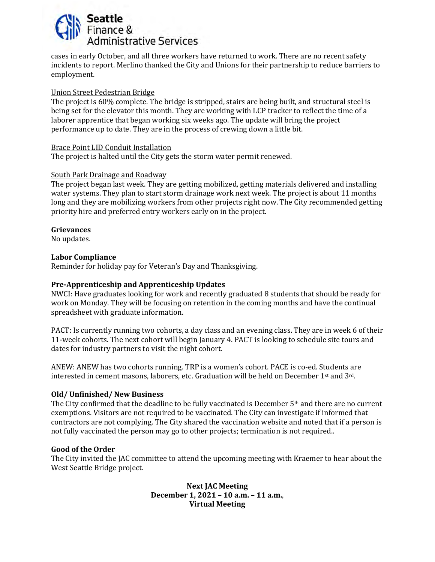

cases in early October, and all three workers have returned to work. There are no recent safety incidents to report. Merlino thanked the City and Unions for their partnership to reduce barriers to employment.

#### Union Street Pedestrian Bridge

The project is 60% complete. The bridge is stripped, stairs are being built, and structural steel is being set for the elevator this month. They are working with LCP tracker to reflect the time of a laborer apprentice that began working six weeks ago. The update will bring the project performance up to date. They are in the process of crewing down a little bit.

#### Brace Point LID Conduit Installation

The project is halted until the City gets the storm water permit renewed.

#### South Park Drainage and Roadway

The project began last week. They are getting mobilized, getting materials delivered and installing water systems. They plan to start storm drainage work next week. The project is about 11 months long and they are mobilizing workers from other projects right now. The City recommended getting priority hire and preferred entry workers early on in the project.

#### **Grievances**

No updates.

#### **Labor Compliance**

Reminder for holiday pay for Veteran's Day and Thanksgiving.

#### **Pre-Apprenticeship and Apprenticeship Updates**

NWCI: Have graduates looking for work and recently graduated 8 students that should be ready for work on Monday. They will be focusing on retention in the coming months and have the continual spreadsheet with graduate information.

PACT: Is currently running two cohorts, a day class and an evening class. They are in week 6 of their 11-week cohorts. The next cohort will begin January 4. PACT is looking to schedule site tours and dates for industry partners to visit the night cohort.

ANEW: ANEW has two cohorts running. TRP is a women's cohort. PACE is co-ed. Students are interested in cement masons, laborers, etc. Graduation will be held on December 1st and 3rd.

#### **Old/ Unfinished/ New Business**

The City confirmed that the deadline to be fully vaccinated is December 5<sup>th</sup> and there are no current exemptions. Visitors are not required to be vaccinated. The City can investigate if informed that contractors are not complying. The City shared the vaccination website and noted that if a person is not fully vaccinated the person may go to other projects; termination is not required..

#### **Good of the Order**

The City invited the JAC committee to attend the upcoming meeting with Kraemer to hear about the West Seattle Bridge project.

> **Next JAC Meeting December 1, 2021 – 10 a.m. – 11 a.m.**, **Virtual Meeting**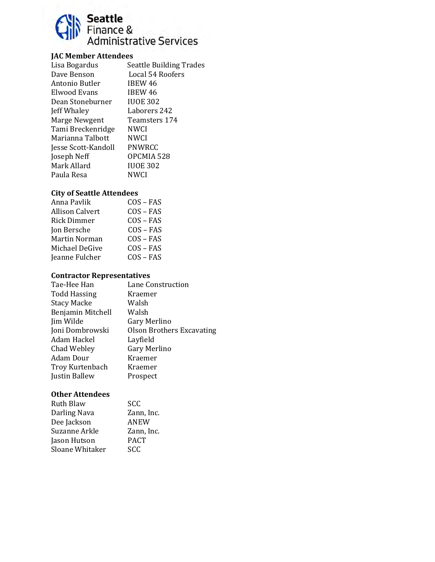

## **JAC Member Attendees**

| Lisa Bogardus       | <b>Seattle Building Trades</b> |
|---------------------|--------------------------------|
| Dave Benson         | Local 54 Roofers               |
| Antonio Butler      | IBEW 46                        |
| Elwood Evans        | IBEW 46                        |
| Dean Stoneburner    | <b>IUOE 302</b>                |
| Jeff Whaley         | Laborers 242                   |
| Marge Newgent       | Teamsters 174                  |
| Tami Breckenridge   | NWCI                           |
| Marianna Talbott    | NWCI                           |
| Jesse Scott-Kandoll | PNWRCC                         |
| Joseph Neff         | OPCMIA 528                     |
| Mark Allard         | <b>IUOE 302</b>                |
| Paula Resa          | NWCI                           |
|                     |                                |

#### **City of Seattle Attendees**

| Anna Pavlik     | $COS - FAS$ |
|-----------------|-------------|
| Allison Calvert | $COS - FAS$ |
| Rick Dimmer     | $COS - FAS$ |
| Jon Bersche     | $COS - FAS$ |
| Martin Norman   | $COS - FAS$ |
| Michael DeGive  | $COS - FAS$ |
| Jeanne Fulcher  | $COS - FAS$ |
|                 |             |

## **Contractor Representatives**

| Tae-Hee Han         | Lane Construction                |
|---------------------|----------------------------------|
| <b>Todd Hassing</b> | Kraemer                          |
| <b>Stacy Macke</b>  | Walsh                            |
| Benjamin Mitchell   | Walsh                            |
| Jim Wilde           | Gary Merlino                     |
| Joni Dombrowski     | <b>Olson Brothers Excavating</b> |
| Adam Hackel         | Layfield                         |
| Chad Webley         | Gary Merlino                     |
| Adam Dour           | Kraemer                          |
| Troy Kurtenbach     | Kraemer                          |
| Justin Ballew       | Prospect                         |
|                     |                                  |

| <b>Ruth Blaw</b>       | <b>SCC</b>  |
|------------------------|-------------|
| Darling Nava           | Zann, Inc.  |
| Dee Jackson            | <b>ANEW</b> |
| Suzanne Arkle          | Zann, Inc.  |
| Jason Hutson           | <b>PACT</b> |
| <b>Sloane Whitaker</b> | SCC         |
|                        |             |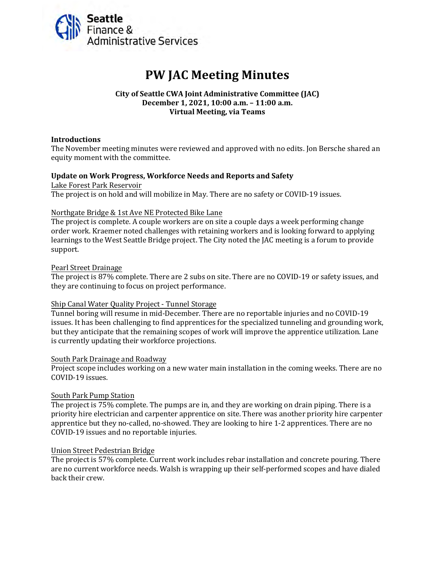<span id="page-43-0"></span>

# **PW JAC Meeting Minutes**

#### **City of Seattle CWA Joint Administrative Committee (JAC) December 1, 2021, 10:00 a.m. – 11:00 a.m. Virtual Meeting, via Teams**

#### **Introductions**

The November meeting minutes were reviewed and approved with no edits. Jon Bersche shared an equity moment with the committee.

#### **Update on Work Progress, Workforce Needs and Reports and Safety**

Lake Forest Park Reservoir The project is on hold and will mobilize in May. There are no safety or COVID-19 issues.

#### Northgate Bridge & 1st Ave NE Protected Bike Lane

The project is complete. A couple workers are on site a couple days a week performing change order work. Kraemer noted challenges with retaining workers and is looking forward to applying learnings to the West Seattle Bridge project. The City noted the JAC meeting is a forum to provide support.

#### Pearl Street Drainage

The project is 87% complete. There are 2 subs on site. There are no COVID-19 or safety issues, and they are continuing to focus on project performance.

#### Ship Canal Water Quality Project - Tunnel Storage

Tunnel boring will resume in mid-December. There are no reportable injuries and no COVID-19 issues. It has been challenging to find apprentices for the specialized tunneling and grounding work, but they anticipate that the remaining scopes of work will improve the apprentice utilization. Lane is currently updating their workforce projections.

#### South Park Drainage and Roadway

Project scope includes working on a new water main installation in the coming weeks. There are no COVID-19 issues.

#### South Park Pump Station

The project is 75% complete. The pumps are in, and they are working on drain piping. There is a priority hire electrician and carpenter apprentice on site. There was another priority hire carpenter apprentice but they no-called, no-showed. They are looking to hire 1-2 apprentices. There are no COVID-19 issues and no reportable injuries.

#### Union Street Pedestrian Bridge

The project is 57% complete. Current work includes rebar installation and concrete pouring. There are no current workforce needs. Walsh is wrapping up their self-performed scopes and have dialed back their crew.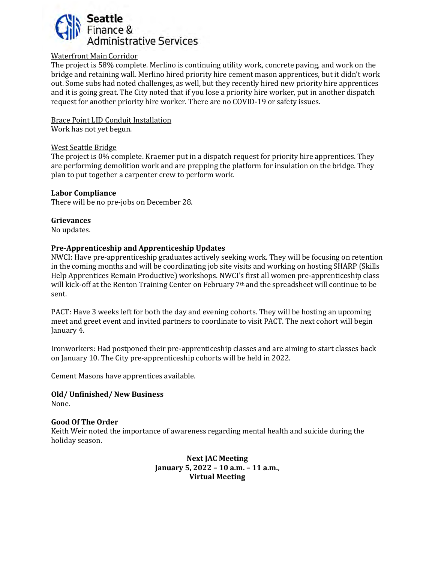

#### Waterfront Main Corridor

The project is 58% complete. Merlino is continuing utility work, concrete paving, and work on the bridge and retaining wall. Merlino hired priority hire cement mason apprentices, but it didn't work out. Some subs had noted challenges, as well, but they recently hired new priority hire apprentices and it is going great. The City noted that if you lose a priority hire worker, put in another dispatch request for another priority hire worker. There are no COVID-19 or safety issues.

Brace Point LID Conduit Installation

Work has not yet begun.

#### West Seattle Bridge

The project is 0% complete. Kraemer put in a dispatch request for priority hire apprentices. They are performing demolition work and are prepping the platform for insulation on the bridge. They plan to put together a carpenter crew to perform work.

#### **Labor Compliance**

There will be no pre-jobs on December 28.

#### **Grievances**

No updates.

#### **Pre-Apprenticeship and Apprenticeship Updates**

NWCI: Have pre-apprenticeship graduates actively seeking work. They will be focusing on retention in the coming months and will be coordinating job site visits and working on hosting SHARP (Skills Help Apprentices Remain Productive) workshops. NWCI's first all women pre-apprenticeship class will kick-off at the Renton Training Center on February 7<sup>th</sup> and the spreadsheet will continue to be sent.

PACT: Have 3 weeks left for both the day and evening cohorts. They will be hosting an upcoming meet and greet event and invited partners to coordinate to visit PACT. The next cohort will begin January 4.

Ironworkers: Had postponed their pre-apprenticeship classes and are aiming to start classes back on January 10. The City pre-apprenticeship cohorts will be held in 2022.

Cement Masons have apprentices available.

#### **Old/ Unfinished/ New Business** None.

#### **Good Of The Order**

Keith Weir noted the importance of awareness regarding mental health and suicide during the holiday season.

> **Next JAC Meeting January 5, 2022 – 10 a.m. – 11 a.m.**, **Virtual Meeting**